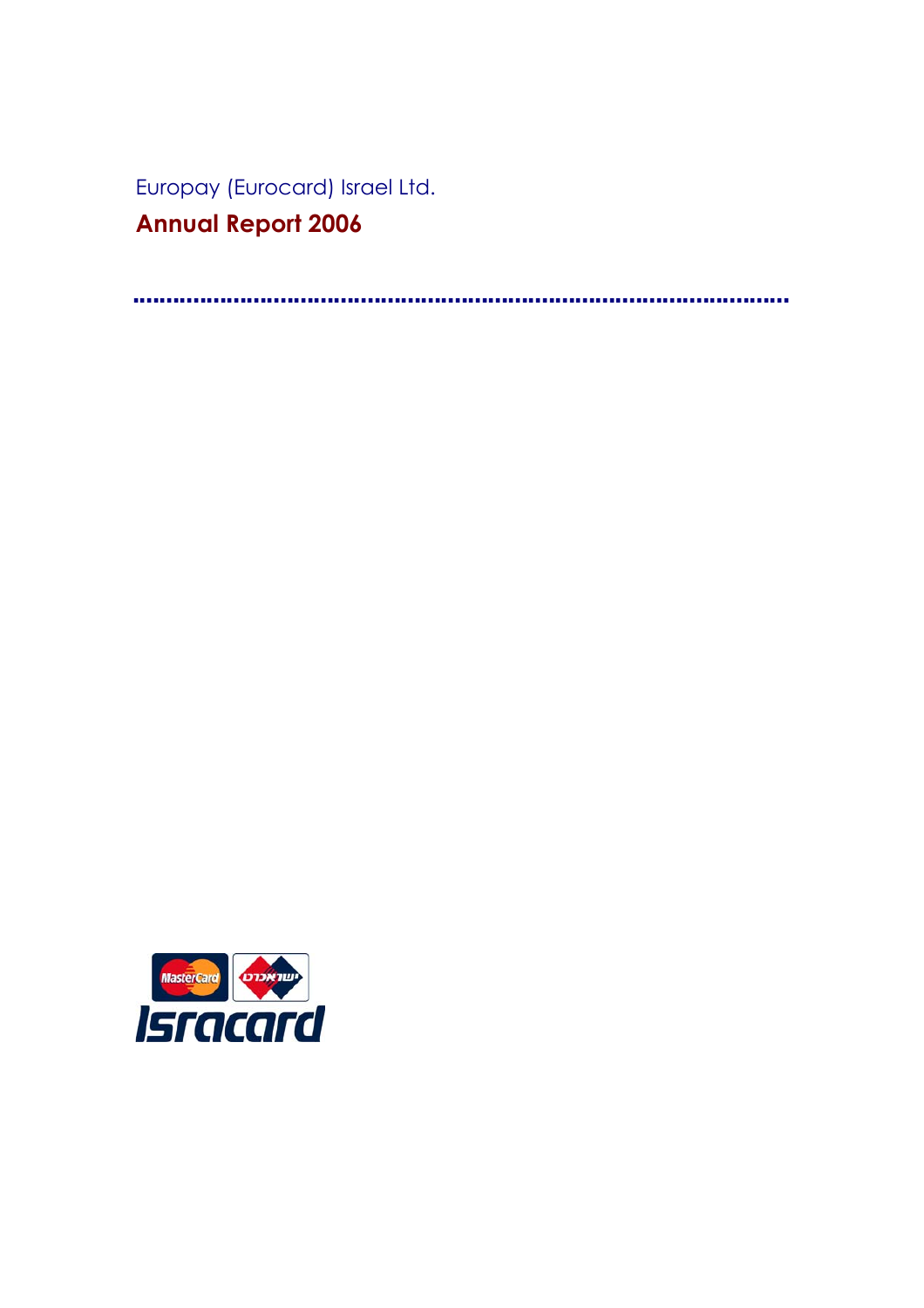Europay (Eurocard) Israel Ltd.

# **Annual Report 2006**

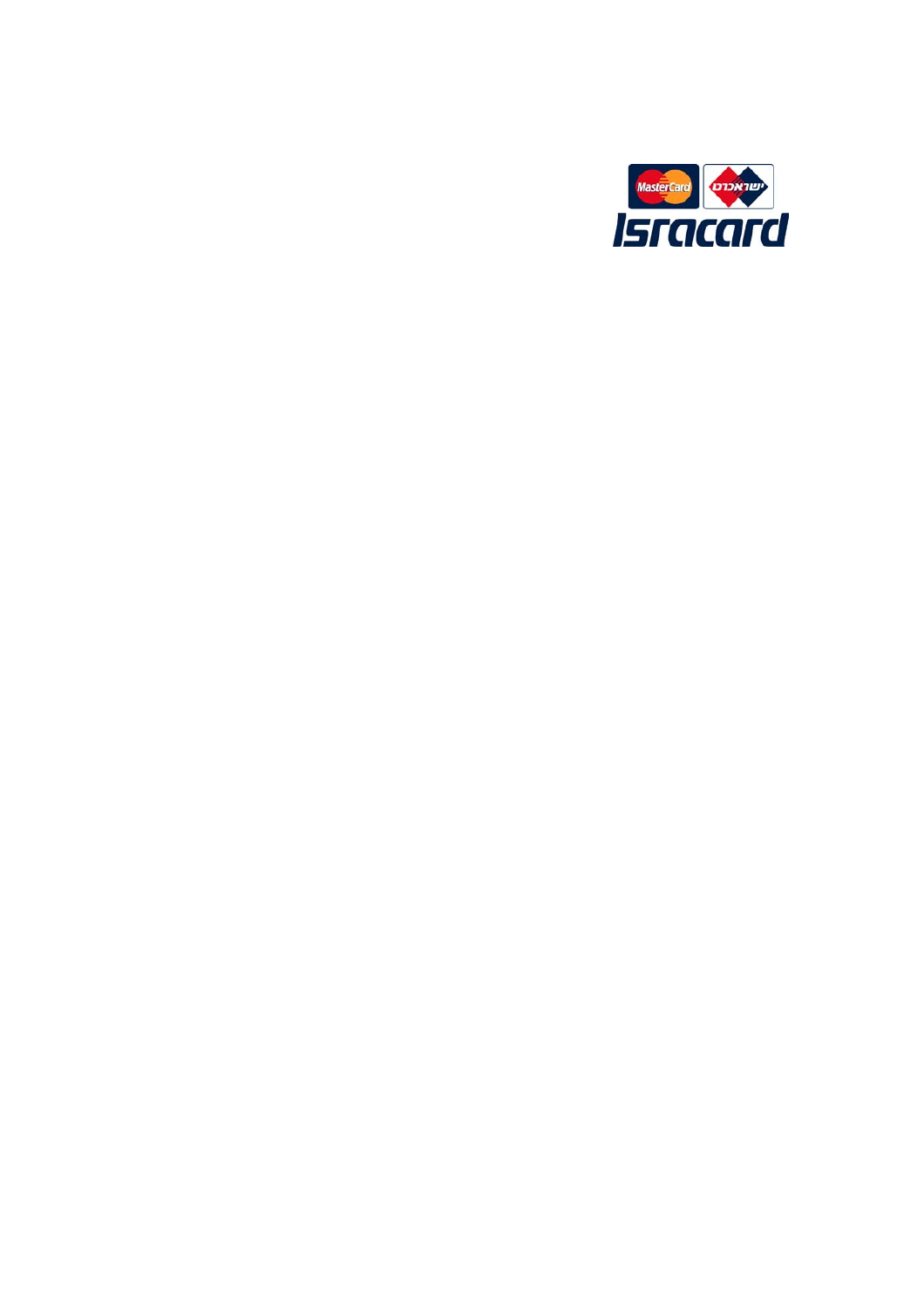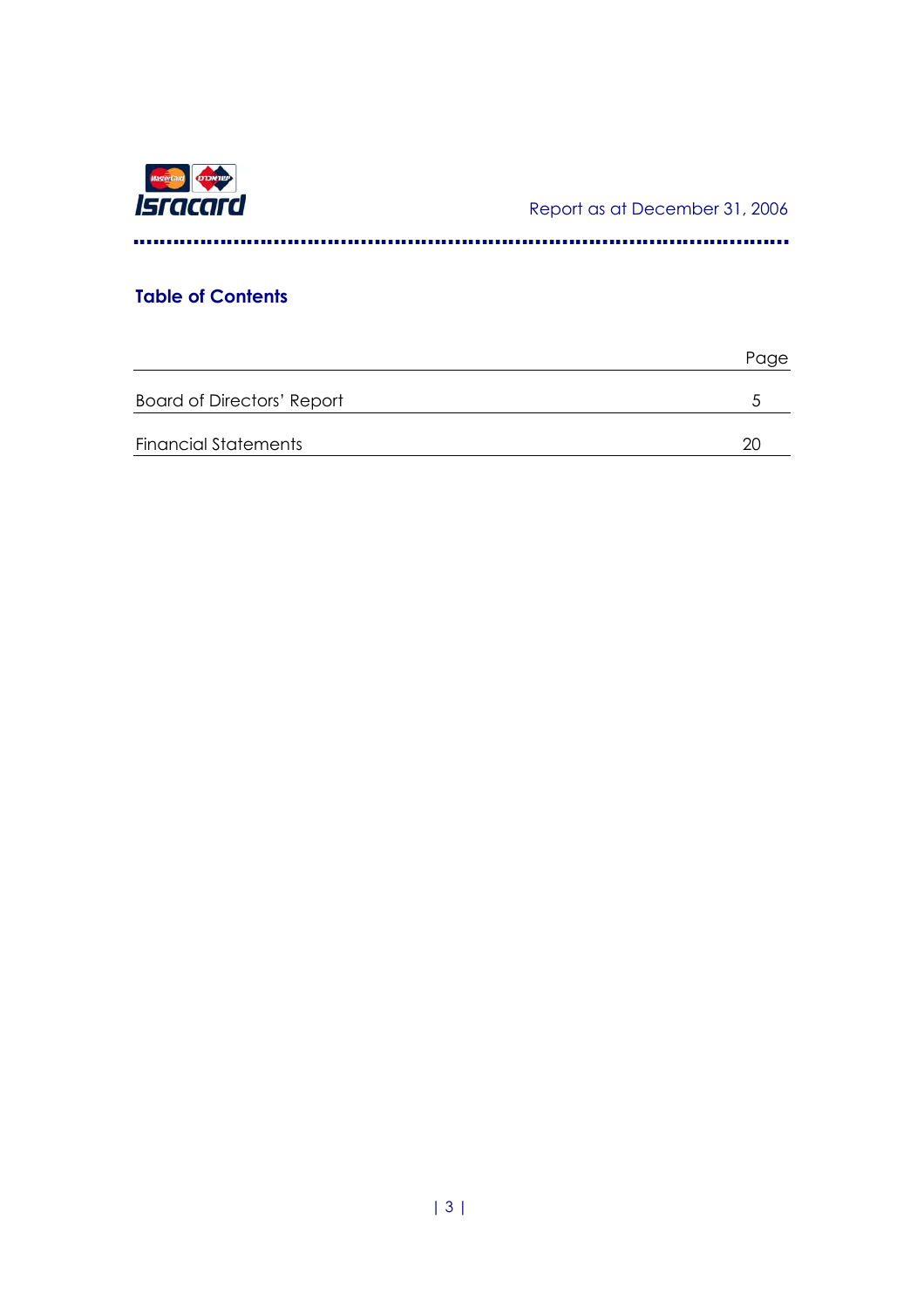

# **Table of Contents**

|                                   | Page |
|-----------------------------------|------|
| <b>Board of Directors' Report</b> |      |
|                                   |      |
| <b>Financial Statements</b>       | 2C   |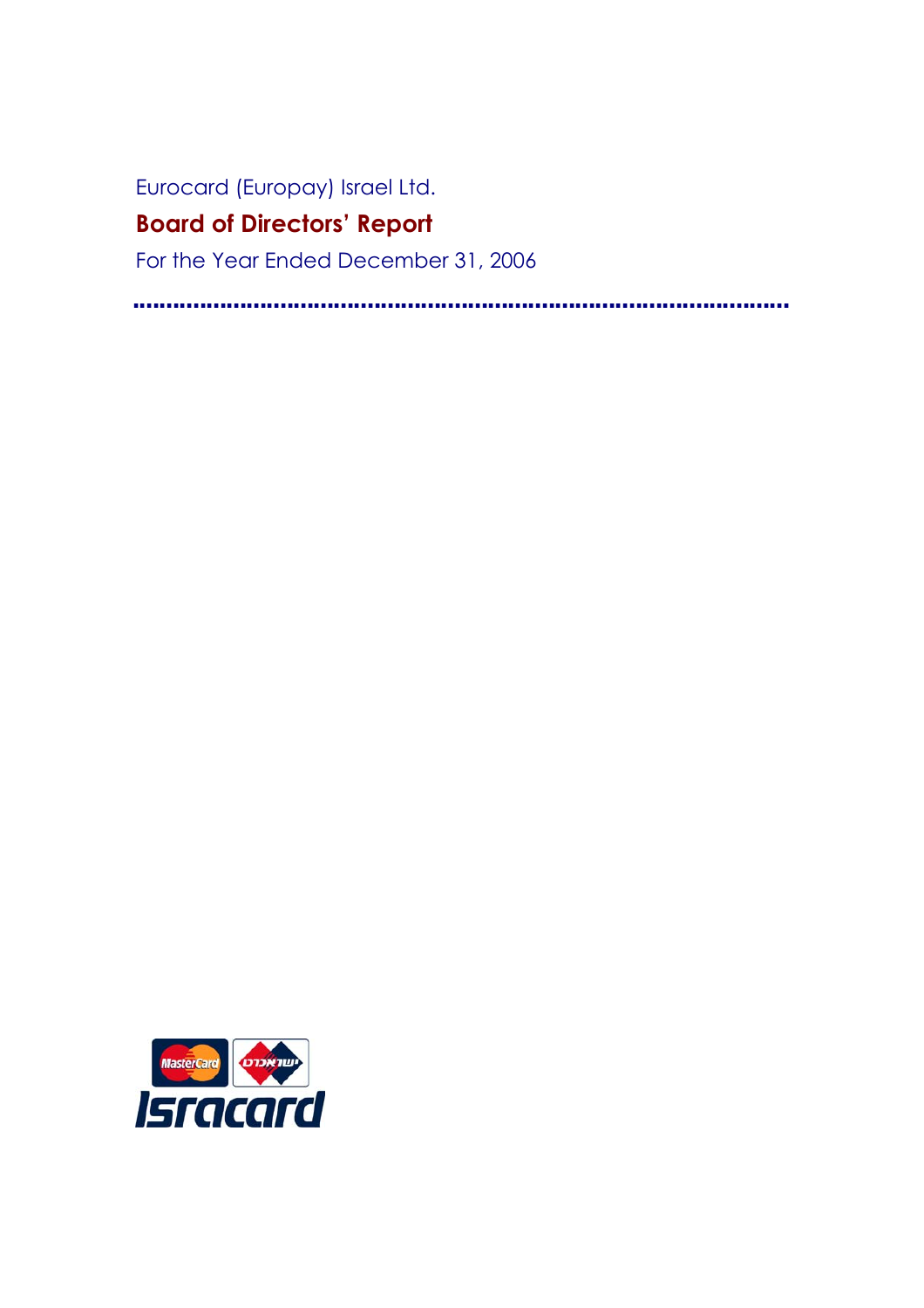Eurocard (Europay) Israel Ltd.

# **Board of Directors' Report**

For the Year Ended December 31, 2006

.........................

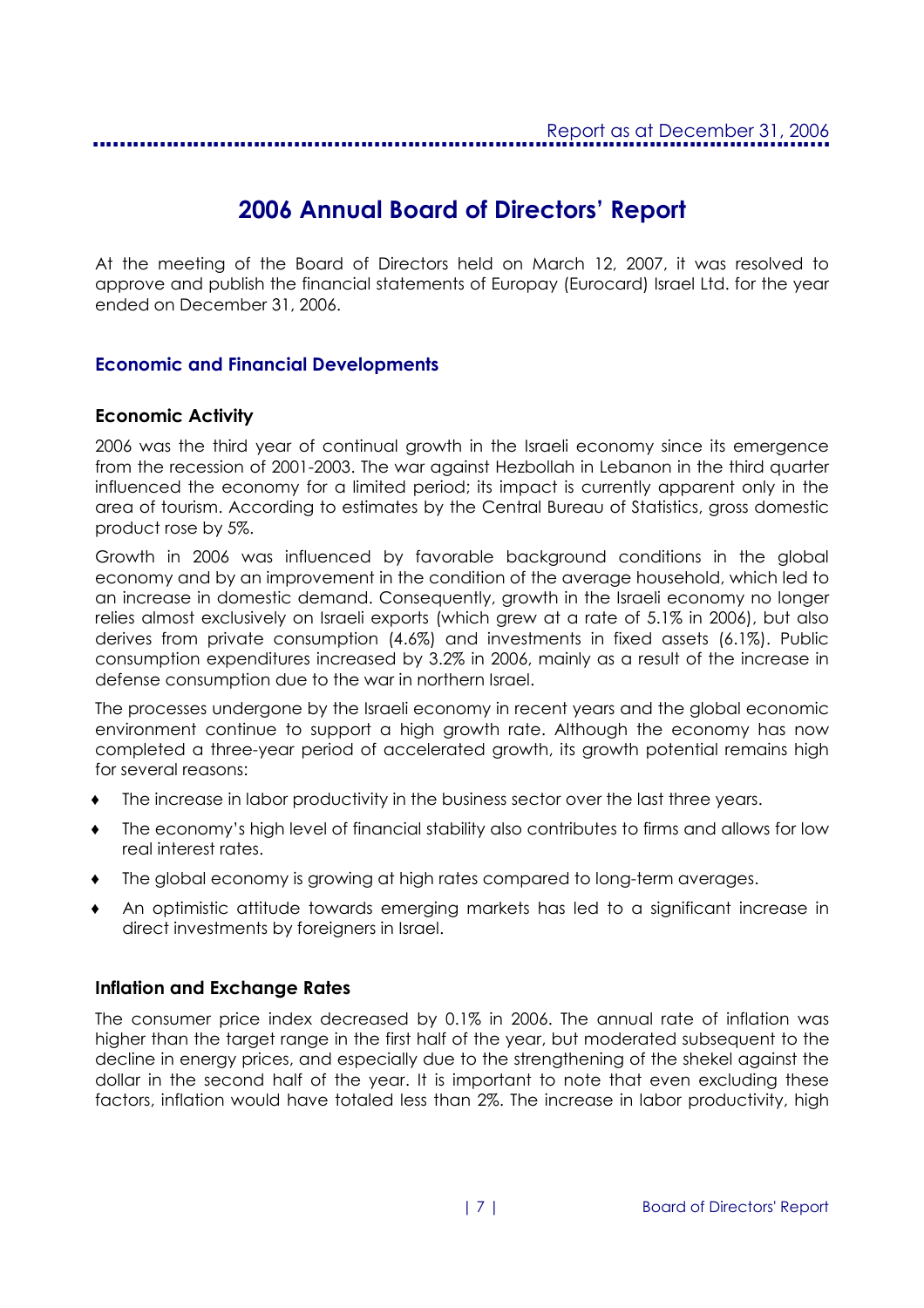# **2006 Annual Board of Directors' Report**

At the meeting of the Board of Directors held on March 12, 2007, it was resolved to approve and publish the financial statements of Europay (Eurocard) Israel Ltd. for the year ended on December 31, 2006.

# **Economic and Financial Developments**

### **Economic Activity**

2006 was the third year of continual growth in the Israeli economy since its emergence from the recession of 2001-2003. The war against Hezbollah in Lebanon in the third quarter influenced the economy for a limited period; its impact is currently apparent only in the area of tourism. According to estimates by the Central Bureau of Statistics, gross domestic product rose by 5%.

Growth in 2006 was influenced by favorable background conditions in the global economy and by an improvement in the condition of the average household, which led to an increase in domestic demand. Consequently, growth in the Israeli economy no longer relies almost exclusively on Israeli exports (which grew at a rate of 5.1% in 2006), but also derives from private consumption (4.6%) and investments in fixed assets (6.1%). Public consumption expenditures increased by 3.2% in 2006, mainly as a result of the increase in defense consumption due to the war in northern Israel.

The processes undergone by the Israeli economy in recent years and the global economic environment continue to support a high growth rate. Although the economy has now completed a three-year period of accelerated growth, its growth potential remains high for several reasons:

- The increase in labor productivity in the business sector over the last three years.
- ♦ The economy's high level of financial stability also contributes to firms and allows for low real interest rates.
- ♦ The global economy is growing at high rates compared to long-term averages.
- ♦ An optimistic attitude towards emerging markets has led to a significant increase in direct investments by foreigners in Israel.

# **Inflation and Exchange Rates**

The consumer price index decreased by 0.1% in 2006. The annual rate of inflation was higher than the target range in the first half of the year, but moderated subsequent to the decline in energy prices, and especially due to the strengthening of the shekel against the dollar in the second half of the year. It is important to note that even excluding these factors, inflation would have totaled less than 2%. The increase in labor productivity, high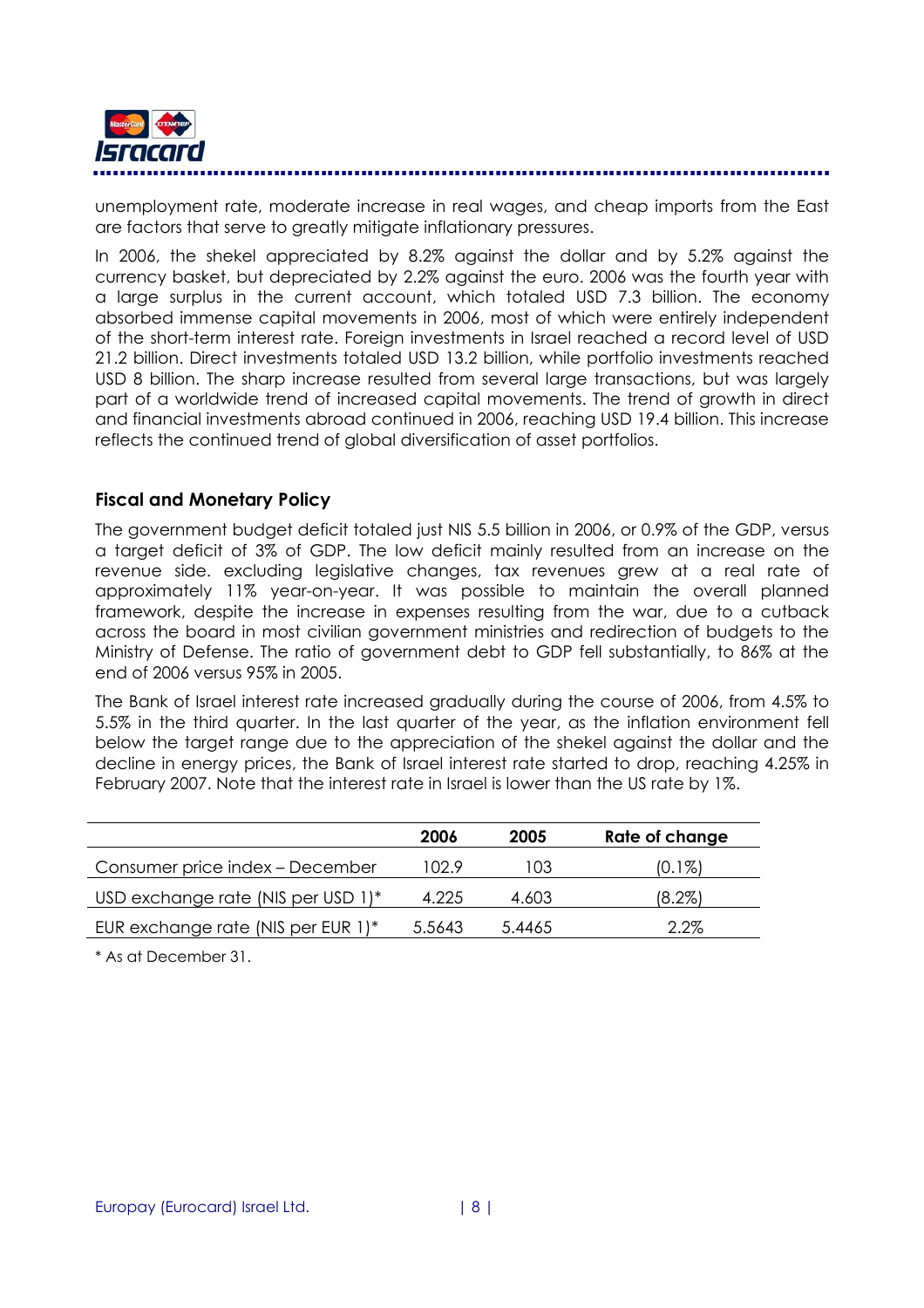

unemployment rate, moderate increase in real wages, and cheap imports from the East are factors that serve to greatly mitigate inflationary pressures.

In 2006, the shekel appreciated by 8.2% against the dollar and by 5.2% against the currency basket, but depreciated by 2.2% against the euro. 2006 was the fourth year with a large surplus in the current account, which totaled USD 7.3 billion. The economy absorbed immense capital movements in 2006, most of which were entirely independent of the short-term interest rate. Foreign investments in Israel reached a record level of USD 21.2 billion. Direct investments totaled USD 13.2 billion, while portfolio investments reached USD 8 billion. The sharp increase resulted from several large transactions, but was largely part of a worldwide trend of increased capital movements. The trend of growth in direct and financial investments abroad continued in 2006, reaching USD 19.4 billion. This increase reflects the continued trend of global diversification of asset portfolios.

### **Fiscal and Monetary Policy**

The government budget deficit totaled just NIS 5.5 billion in 2006, or 0.9% of the GDP, versus a target deficit of 3% of GDP. The low deficit mainly resulted from an increase on the revenue side. excluding legislative changes, tax revenues grew at a real rate of approximately 11% year-on-year. It was possible to maintain the overall planned framework, despite the increase in expenses resulting from the war, due to a cutback across the board in most civilian government ministries and redirection of budgets to the Ministry of Defense. The ratio of government debt to GDP fell substantially, to 86% at the end of 2006 versus 95% in 2005.

The Bank of Israel interest rate increased gradually during the course of 2006, from 4.5% to 5.5% in the third quarter. In the last quarter of the year, as the inflation environment fell below the target range due to the appreciation of the shekel against the dollar and the decline in energy prices, the Bank of Israel interest rate started to drop, reaching 4.25% in February 2007. Note that the interest rate in Israel is lower than the US rate by 1%.

|                                    | 2006             | 2005   | Rate of change |
|------------------------------------|------------------|--------|----------------|
| Consumer price index - December    | O <sub>2.9</sub> | 103    | $(0.1\%)$      |
| USD exchange rate (NIS per USD 1)* | 4.225            | 4.603  | $(8.2\%)$      |
| EUR exchange rate (NIS per EUR 1)* | 5.5643           | 5.4465 | 2.2%           |

\* As at December 31.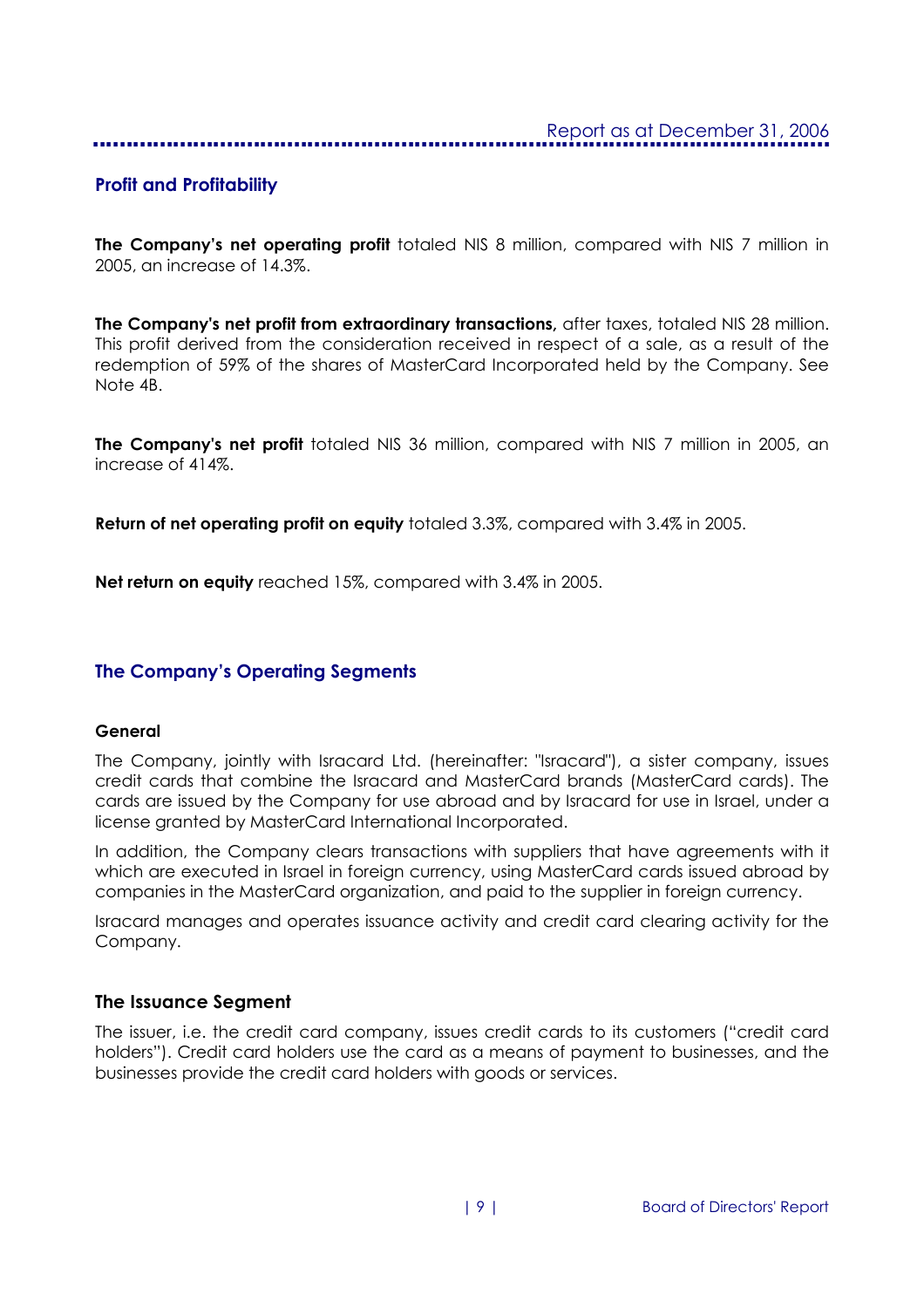# **Profit and Profitability**

**The Company's net operating profit** totaled NIS 8 million, compared with NIS 7 million in 2005, an increase of 14.3%.

The Company's net profit from extraordinary transactions, after taxes, totaled NIS 28 million. This profit derived from the consideration received in respect of a sale, as a result of the redemption of 59% of the shares of MasterCard Incorporated held by the Company. See Note 4B.

**The Company's net profit** totaled NIS 36 million, compared with NIS 7 million in 2005, an increase of 414%.

**Return of net operating profit on equity** totaled 3.3%, compared with 3.4% in 2005.

**Net return on equity** reached 15%, compared with 3.4% in 2005.

# **The Company's Operating Segments**

#### **General**

The Company, jointly with Isracard Ltd. (hereinafter: "Isracard"), a sister company, issues credit cards that combine the Isracard and MasterCard brands (MasterCard cards). The cards are issued by the Company for use abroad and by Isracard for use in Israel, under a license granted by MasterCard International Incorporated.

In addition, the Company clears transactions with suppliers that have agreements with it which are executed in Israel in foreign currency, using MasterCard cards issued abroad by companies in the MasterCard organization, and paid to the supplier in foreign currency.

Isracard manages and operates issuance activity and credit card clearing activity for the Company.

#### **The Issuance Segment**

The issuer, i.e. the credit card company, issues credit cards to its customers ("credit card holders"). Credit card holders use the card as a means of payment to businesses, and the businesses provide the credit card holders with goods or services.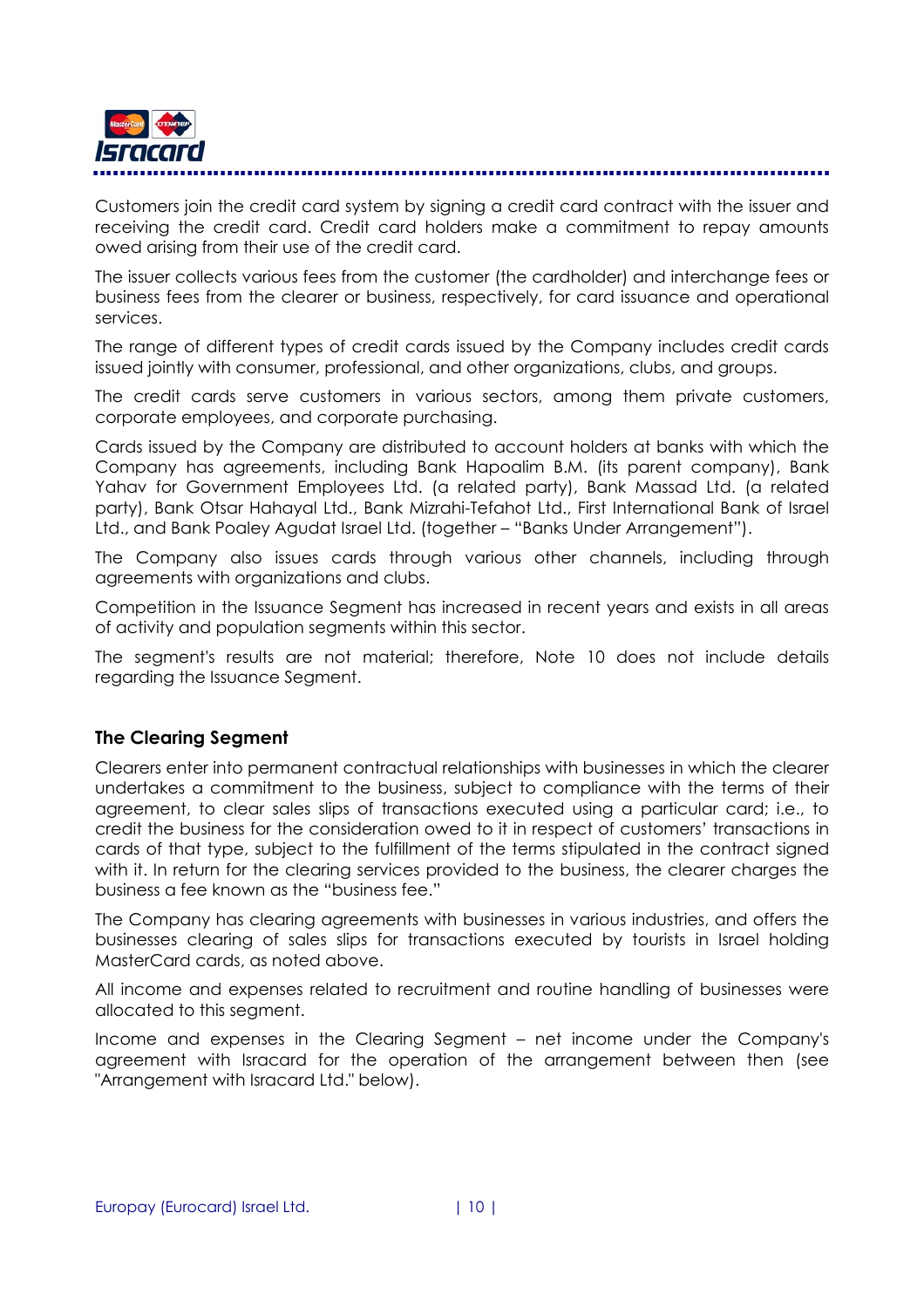

Customers join the credit card system by signing a credit card contract with the issuer and receiving the credit card. Credit card holders make a commitment to repay amounts owed arising from their use of the credit card.

The issuer collects various fees from the customer (the cardholder) and interchange fees or business fees from the clearer or business, respectively, for card issuance and operational services.

The range of different types of credit cards issued by the Company includes credit cards issued jointly with consumer, professional, and other organizations, clubs, and groups.

The credit cards serve customers in various sectors, among them private customers, corporate employees, and corporate purchasing.

Cards issued by the Company are distributed to account holders at banks with which the Company has agreements, including Bank Hapoalim B.M. (its parent company), Bank Yahav for Government Employees Ltd. (a related party), Bank Massad Ltd. (a related party), Bank Otsar Hahayal Ltd., Bank Mizrahi-Tefahot Ltd., First International Bank of Israel Ltd., and Bank Poaley Agudat Israel Ltd. (together – "Banks Under Arrangement").

The Company also issues cards through various other channels, including through agreements with organizations and clubs.

Competition in the Issuance Segment has increased in recent years and exists in all areas of activity and population segments within this sector.

The segment's results are not material; therefore, Note 10 does not include details regarding the Issuance Segment.

# **The Clearing Segment**

Clearers enter into permanent contractual relationships with businesses in which the clearer undertakes a commitment to the business, subject to compliance with the terms of their agreement, to clear sales slips of transactions executed using a particular card; i.e., to credit the business for the consideration owed to it in respect of customers' transactions in cards of that type, subject to the fulfillment of the terms stipulated in the contract signed with it. In return for the clearing services provided to the business, the clearer charges the business a fee known as the "business fee."

The Company has clearing agreements with businesses in various industries, and offers the businesses clearing of sales slips for transactions executed by tourists in Israel holding MasterCard cards, as noted above.

All income and expenses related to recruitment and routine handling of businesses were allocated to this segment.

Income and expenses in the Clearing Segment – net income under the Company's agreement with Isracard for the operation of the arrangement between then (see "Arrangement with Isracard Ltd." below).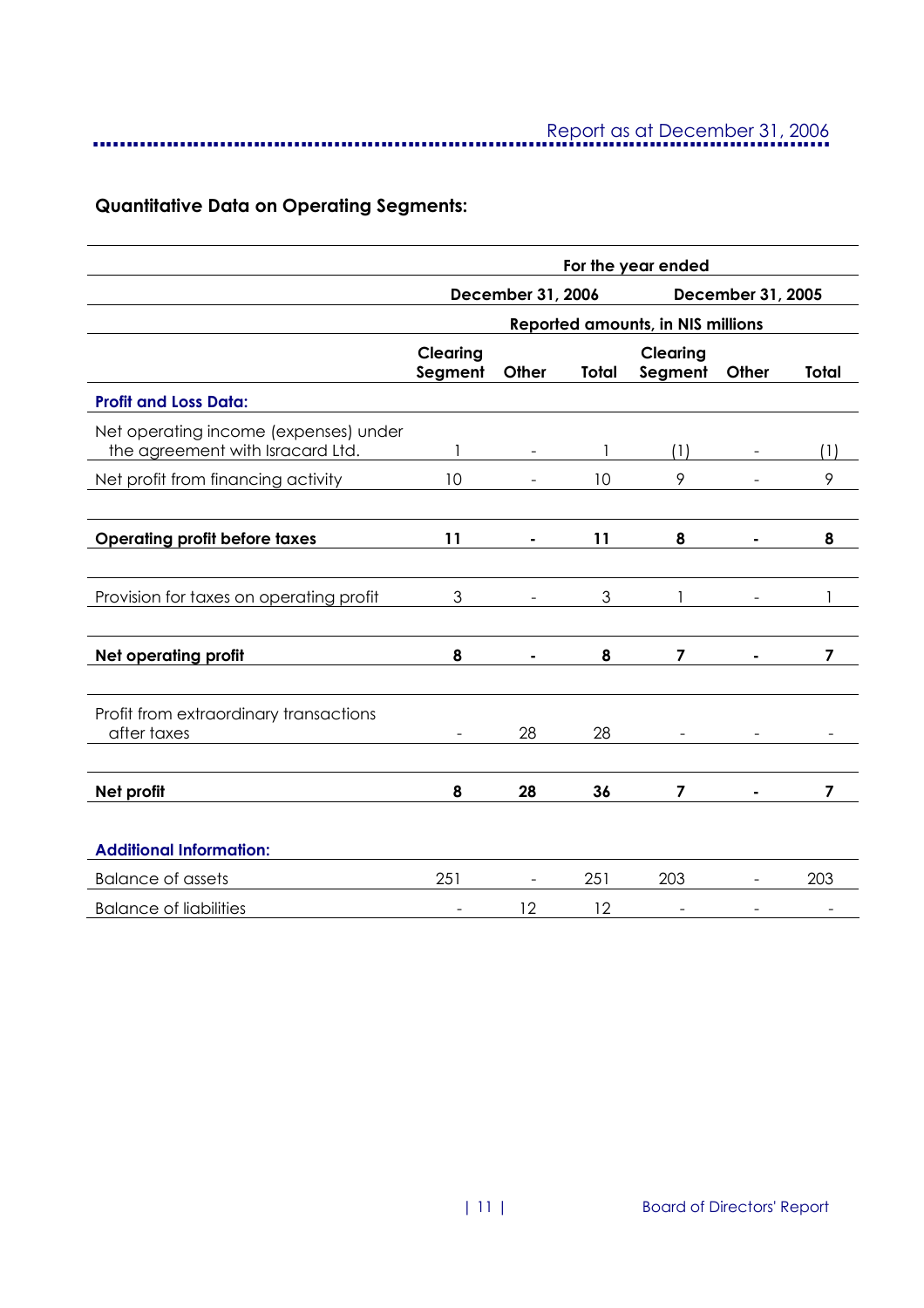**Quantitative Data on Operating Segments:** 

|                                                                           | For the year ended                       |        |              |                            |       |                |
|---------------------------------------------------------------------------|------------------------------------------|--------|--------------|----------------------------|-------|----------------|
|                                                                           | December 31, 2006                        |        |              | December 31, 2005          |       |                |
|                                                                           | <b>Reported amounts, in NIS millions</b> |        |              |                            |       |                |
|                                                                           | <b>Clearing</b><br>Segment               | Other  | <b>Total</b> | <b>Clearing</b><br>Segment | Other | <b>Total</b>   |
| <b>Profit and Loss Data:</b>                                              |                                          |        |              |                            |       |                |
| Net operating income (expenses) under<br>the agreement with Isracard Ltd. |                                          |        |              | (1)                        |       | (1)            |
| Net profit from financing activity                                        | 10                                       |        | 10           | 9                          |       | 9              |
|                                                                           |                                          |        |              |                            |       |                |
| <b>Operating profit before taxes</b>                                      | 11                                       |        | 11           | 8                          |       | 8              |
|                                                                           |                                          |        |              |                            |       |                |
| Provision for taxes on operating profit                                   | 3                                        | $\sim$ | 3            |                            |       |                |
|                                                                           |                                          |        |              |                            |       |                |
| Net operating profit                                                      | 8                                        |        | 8            | $\overline{7}$             |       | $\overline{ }$ |
|                                                                           |                                          |        |              |                            |       |                |
| Profit from extraordinary transactions<br>after taxes                     |                                          | 28     | 28           |                            |       |                |
|                                                                           |                                          |        |              |                            |       |                |
| Net profit                                                                | 8                                        | 28     | 36           | $\overline{7}$             |       | 7              |
|                                                                           |                                          |        |              |                            |       |                |
| <b>Additional Information:</b>                                            |                                          |        |              |                            |       |                |
| <b>Balance of assets</b>                                                  | 251                                      |        | 251          | 203                        |       | 203            |
| <b>Balance of liabilities</b>                                             |                                          | 12     | 12           |                            |       |                |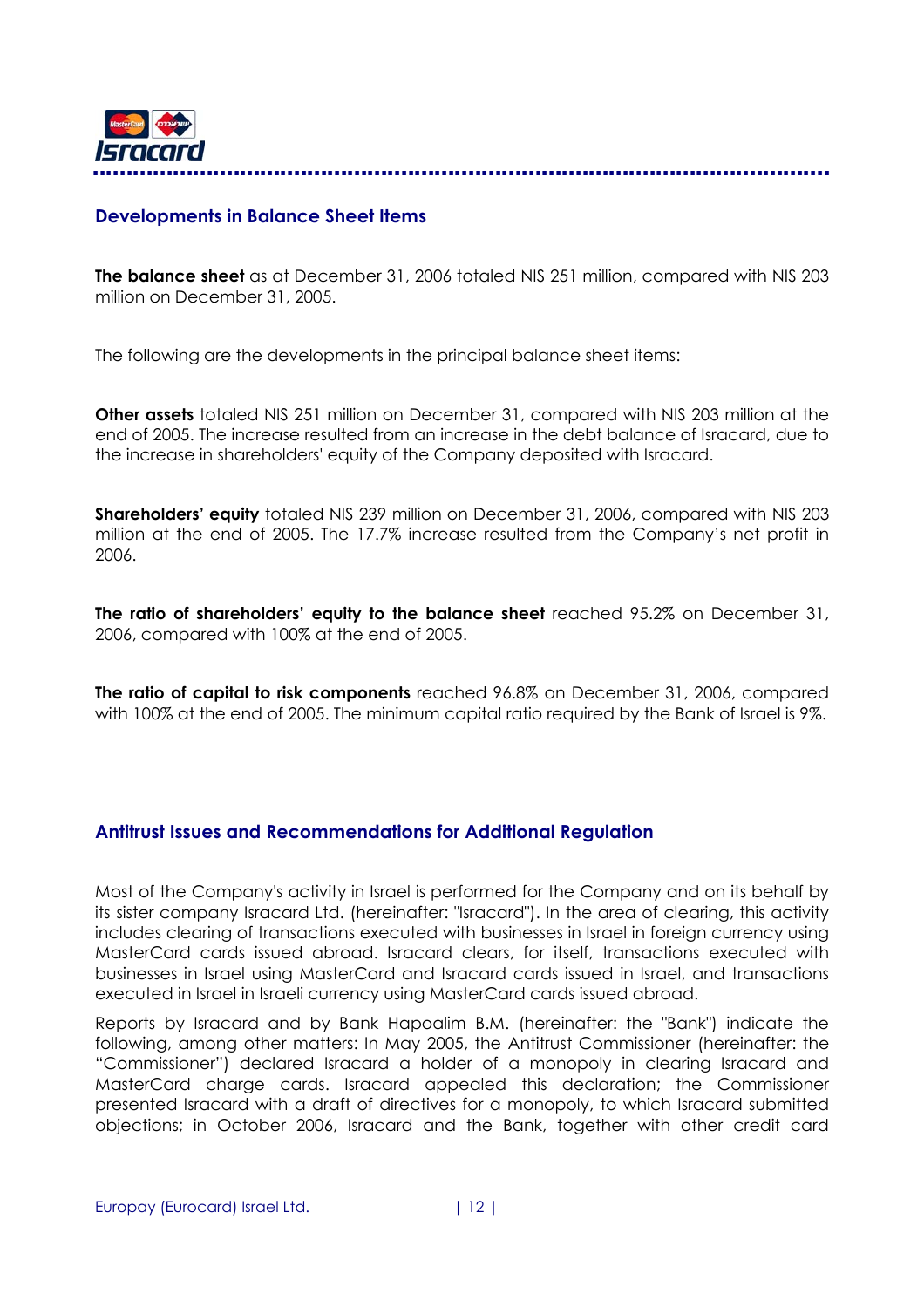

# **Developments in Balance Sheet Items**

**The balance sheet** as at December 31, 2006 totaled NIS 251 million, compared with NIS 203 million on December 31, 2005.

The following are the developments in the principal balance sheet items:

**Other assets** totaled NIS 251 million on December 31, compared with NIS 203 million at the end of 2005. The increase resulted from an increase in the debt balance of Isracard, due to the increase in shareholders' equity of the Company deposited with Isracard.

**Shareholders' equity** totaled NIS 239 million on December 31, 2006, compared with NIS 203 million at the end of 2005. The 17.7% increase resulted from the Company's net profit in 2006.

**The ratio of shareholders' equity to the balance sheet** reached 95.2% on December 31, 2006, compared with 100% at the end of 2005.

**The ratio of capital to risk components** reached 96.8% on December 31, 2006, compared with 100% at the end of 2005. The minimum capital ratio required by the Bank of Israel is 9%.

# **Antitrust Issues and Recommendations for Additional Regulation**

Most of the Company's activity in Israel is performed for the Company and on its behalf by its sister company Isracard Ltd. (hereinafter: "Isracard"). In the area of clearing, this activity includes clearing of transactions executed with businesses in Israel in foreign currency using MasterCard cards issued abroad. Isracard clears, for itself, transactions executed with businesses in Israel using MasterCard and Isracard cards issued in Israel, and transactions executed in Israel in Israeli currency using MasterCard cards issued abroad.

Reports by Isracard and by Bank Hapoalim B.M. (hereinafter: the "Bank") indicate the following, among other matters: In May 2005, the Antitrust Commissioner (hereinafter: the "Commissioner") declared Isracard a holder of a monopoly in clearing Isracard and MasterCard charge cards. Isracard appealed this declaration; the Commissioner presented Isracard with a draft of directives for a monopoly, to which Isracard submitted objections; in October 2006, Isracard and the Bank, together with other credit card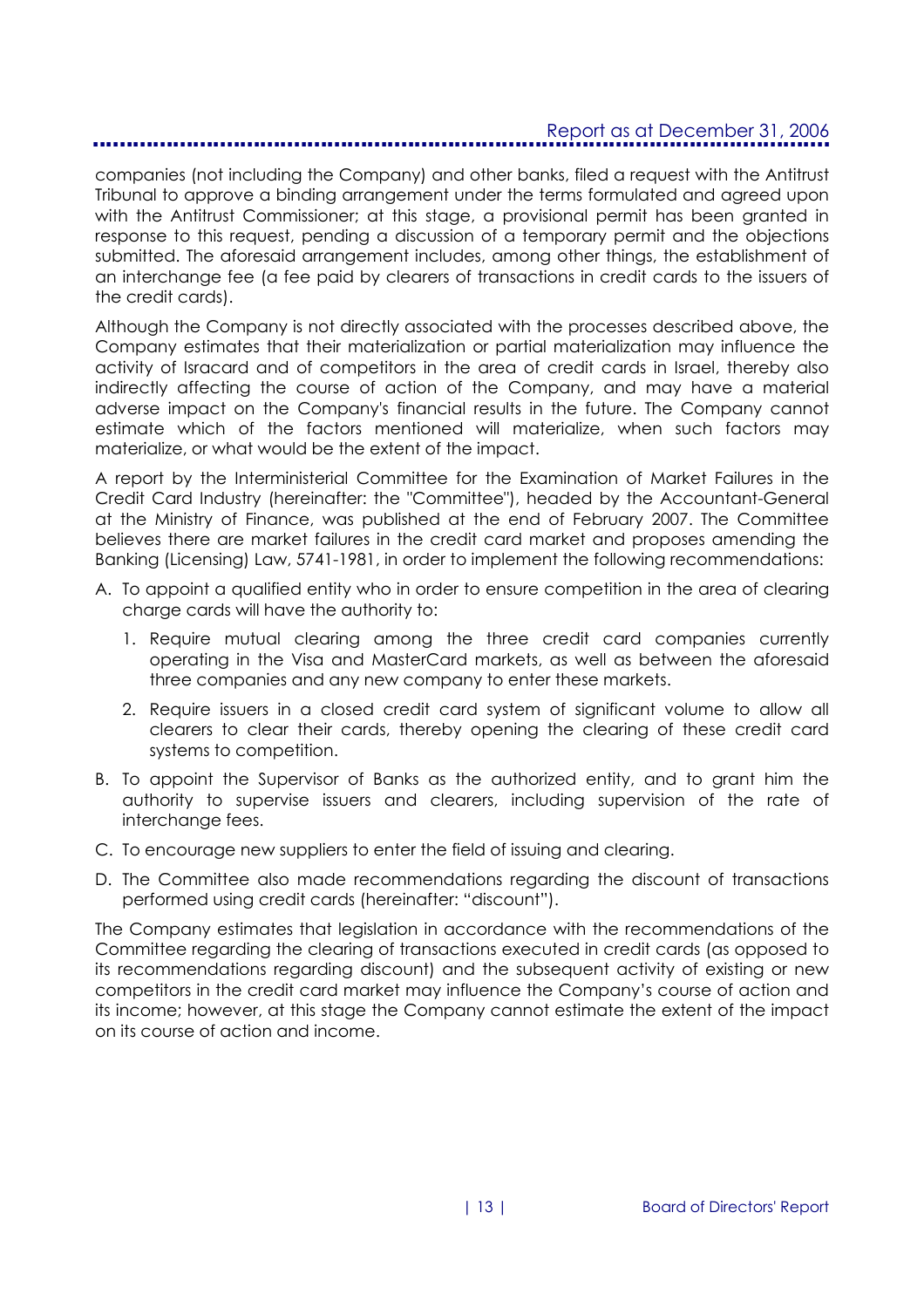# Report as at December 31, 2006

companies (not including the Company) and other banks, filed a request with the Antitrust Tribunal to approve a binding arrangement under the terms formulated and agreed upon with the Antitrust Commissioner; at this stage, a provisional permit has been granted in response to this request, pending a discussion of a temporary permit and the objections submitted. The aforesaid arrangement includes, among other things, the establishment of an interchange fee (a fee paid by clearers of transactions in credit cards to the issuers of the credit cards).

Although the Company is not directly associated with the processes described above, the Company estimates that their materialization or partial materialization may influence the activity of Isracard and of competitors in the area of credit cards in Israel, thereby also indirectly affecting the course of action of the Company, and may have a material adverse impact on the Company's financial results in the future. The Company cannot estimate which of the factors mentioned will materialize, when such factors may materialize, or what would be the extent of the impact.

A report by the Interministerial Committee for the Examination of Market Failures in the Credit Card Industry (hereinafter: the "Committee"), headed by the Accountant-General at the Ministry of Finance, was published at the end of February 2007. The Committee believes there are market failures in the credit card market and proposes amending the Banking (Licensing) Law, 5741-1981, in order to implement the following recommendations:

- A. To appoint a qualified entity who in order to ensure competition in the area of clearing charge cards will have the authority to:
	- 1. Require mutual clearing among the three credit card companies currently operating in the Visa and MasterCard markets, as well as between the aforesaid three companies and any new company to enter these markets.
	- 2. Require issuers in a closed credit card system of significant volume to allow all clearers to clear their cards, thereby opening the clearing of these credit card systems to competition.
- B. To appoint the Supervisor of Banks as the authorized entity, and to grant him the authority to supervise issuers and clearers, including supervision of the rate of interchange fees.
- C. To encourage new suppliers to enter the field of issuing and clearing.
- D. The Committee also made recommendations regarding the discount of transactions performed using credit cards (hereinafter: "discount").

The Company estimates that legislation in accordance with the recommendations of the Committee regarding the clearing of transactions executed in credit cards (as opposed to its recommendations regarding discount) and the subsequent activity of existing or new competitors in the credit card market may influence the Company's course of action and its income; however, at this stage the Company cannot estimate the extent of the impact on its course of action and income.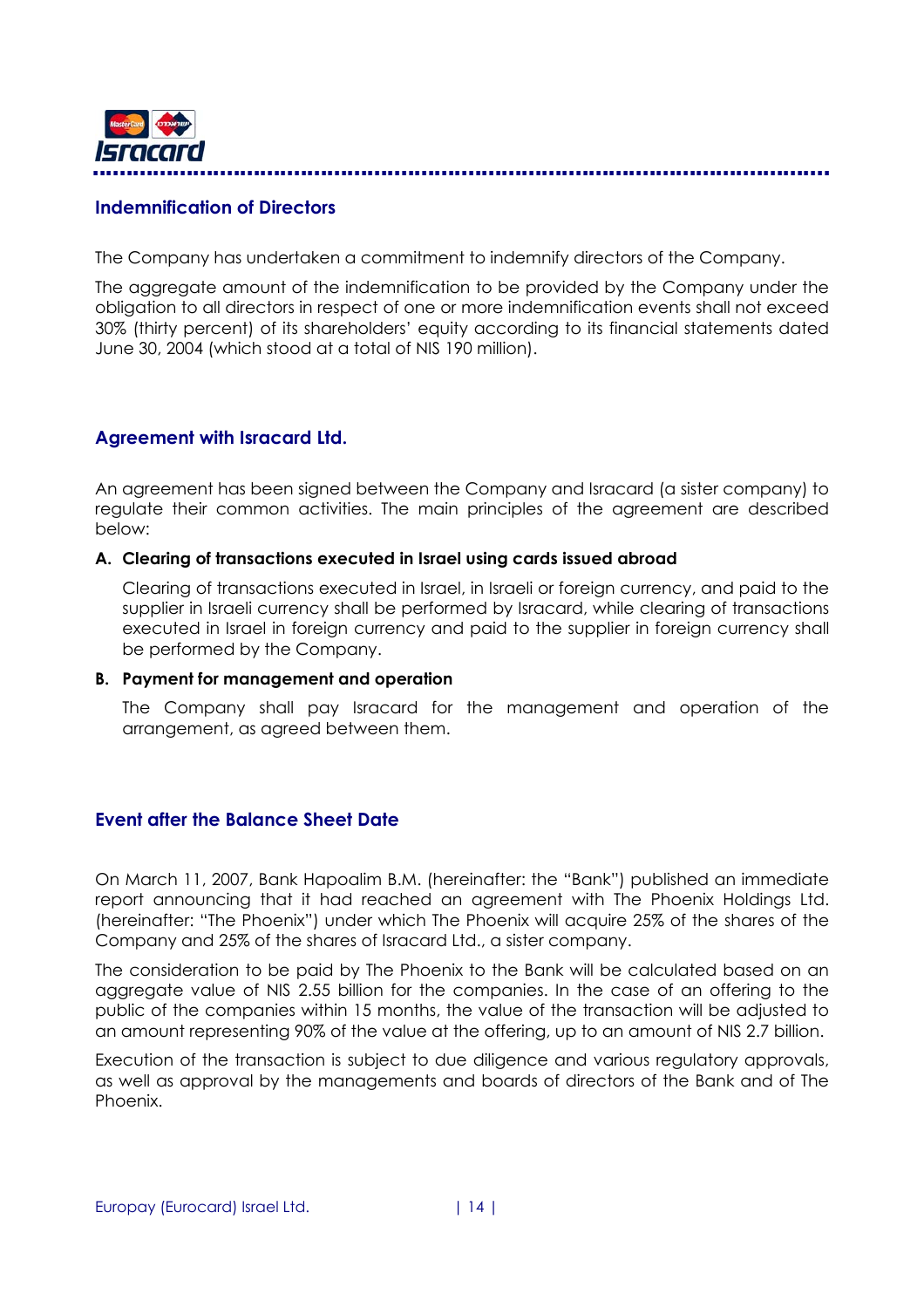

### **Indemnification of Directors**

The Company has undertaken a commitment to indemnify directors of the Company.

The aggregate amount of the indemnification to be provided by the Company under the obligation to all directors in respect of one or more indemnification events shall not exceed 30% (thirty percent) of its shareholders' equity according to its financial statements dated June 30, 2004 (which stood at a total of NIS 190 million).

#### **Agreement with Isracard Ltd.**

An agreement has been signed between the Company and Isracard (a sister company) to regulate their common activities. The main principles of the agreement are described below:

#### **A. Clearing of transactions executed in Israel using cards issued abroad**

Clearing of transactions executed in Israel, in Israeli or foreign currency, and paid to the supplier in Israeli currency shall be performed by Isracard, while clearing of transactions executed in Israel in foreign currency and paid to the supplier in foreign currency shall be performed by the Company.

#### **B. Payment for management and operation**

The Company shall pay Isracard for the management and operation of the arrangement, as agreed between them.

# **Event after the Balance Sheet Date**

On March 11, 2007, Bank Hapoalim B.M. (hereinafter: the "Bank") published an immediate report announcing that it had reached an agreement with The Phoenix Holdings Ltd. (hereinafter: "The Phoenix") under which The Phoenix will acquire 25% of the shares of the Company and 25% of the shares of Isracard Ltd., a sister company.

The consideration to be paid by The Phoenix to the Bank will be calculated based on an aggregate value of NIS 2.55 billion for the companies. In the case of an offering to the public of the companies within 15 months, the value of the transaction will be adjusted to an amount representing 90% of the value at the offering, up to an amount of NIS 2.7 billion.

Execution of the transaction is subject to due diligence and various regulatory approvals, as well as approval by the managements and boards of directors of the Bank and of The Phoenix.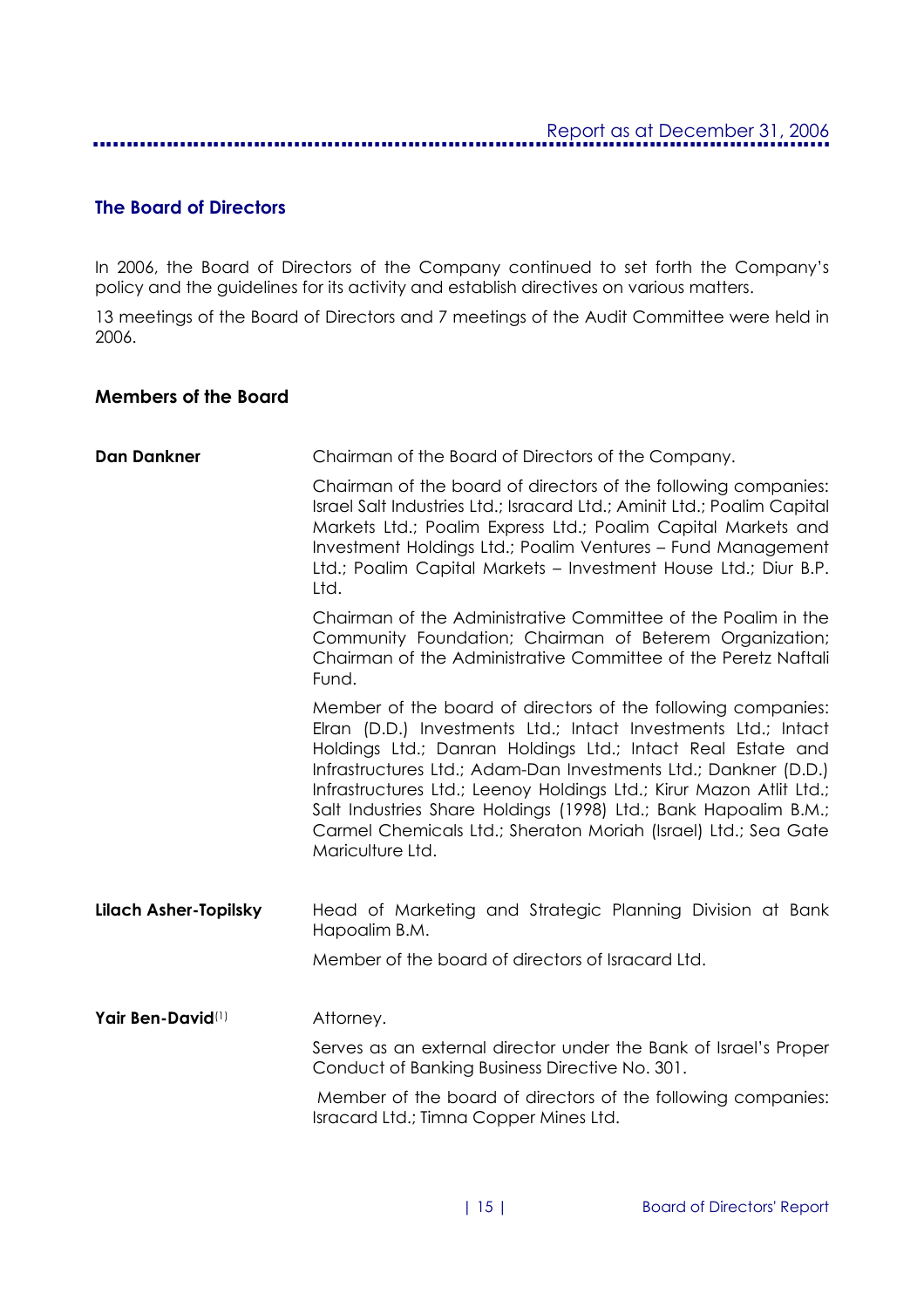# **The Board of Directors**

In 2006, the Board of Directors of the Company continued to set forth the Company's policy and the guidelines for its activity and establish directives on various matters.

13 meetings of the Board of Directors and 7 meetings of the Audit Committee were held in 2006.

#### **Members of the Board**

| Chairman of the Board of Directors of the Company.                                                                                                                                                                                                                                                                                                                                                                                                                                               |
|--------------------------------------------------------------------------------------------------------------------------------------------------------------------------------------------------------------------------------------------------------------------------------------------------------------------------------------------------------------------------------------------------------------------------------------------------------------------------------------------------|
| Chairman of the board of directors of the following companies:<br>Israel Salt Industries Ltd.; Isracard Ltd.; Aminit Ltd.; Poalim Capital<br>Markets Ltd.; Poalim Express Ltd.; Poalim Capital Markets and<br>Investment Holdings Ltd.; Poalim Ventures - Fund Management<br>Ltd.; Poalim Capital Markets - Investment House Ltd.; Diur B.P.<br>Ltd.                                                                                                                                             |
| Chairman of the Administrative Committee of the Poalim in the<br>Community Foundation; Chairman of Beterem Organization;<br>Chairman of the Administrative Committee of the Peretz Naftali<br>Fund.                                                                                                                                                                                                                                                                                              |
| Member of the board of directors of the following companies:<br>Elran (D.D.) Investments Ltd.; Intact Investments Ltd.; Intact<br>Holdings Ltd.; Danran Holdings Ltd.; Intact Real Estate and<br>Infrastructures Ltd.; Adam-Dan Investments Ltd.; Dankner (D.D.)<br>Infrastructures Ltd.; Leenoy Holdings Ltd.; Kirur Mazon Atlit Ltd.;<br>Salt Industries Share Holdings (1998) Ltd.; Bank Hapoalim B.M.;<br>Carmel Chemicals Ltd.; Sheraton Moriah (Israel) Ltd.; Sea Gate<br>Mariculture Ltd. |
| Head of Marketing and Strategic Planning Division at Bank<br>Hapoalim B.M.                                                                                                                                                                                                                                                                                                                                                                                                                       |
| Member of the board of directors of Isracard Ltd.                                                                                                                                                                                                                                                                                                                                                                                                                                                |
| Attorney.                                                                                                                                                                                                                                                                                                                                                                                                                                                                                        |
| Serves as an external director under the Bank of Israel's Proper<br>Conduct of Banking Business Directive No. 301.                                                                                                                                                                                                                                                                                                                                                                               |
| Member of the board of directors of the following companies:<br>Isracard Ltd.; Timna Copper Mines Ltd.                                                                                                                                                                                                                                                                                                                                                                                           |
|                                                                                                                                                                                                                                                                                                                                                                                                                                                                                                  |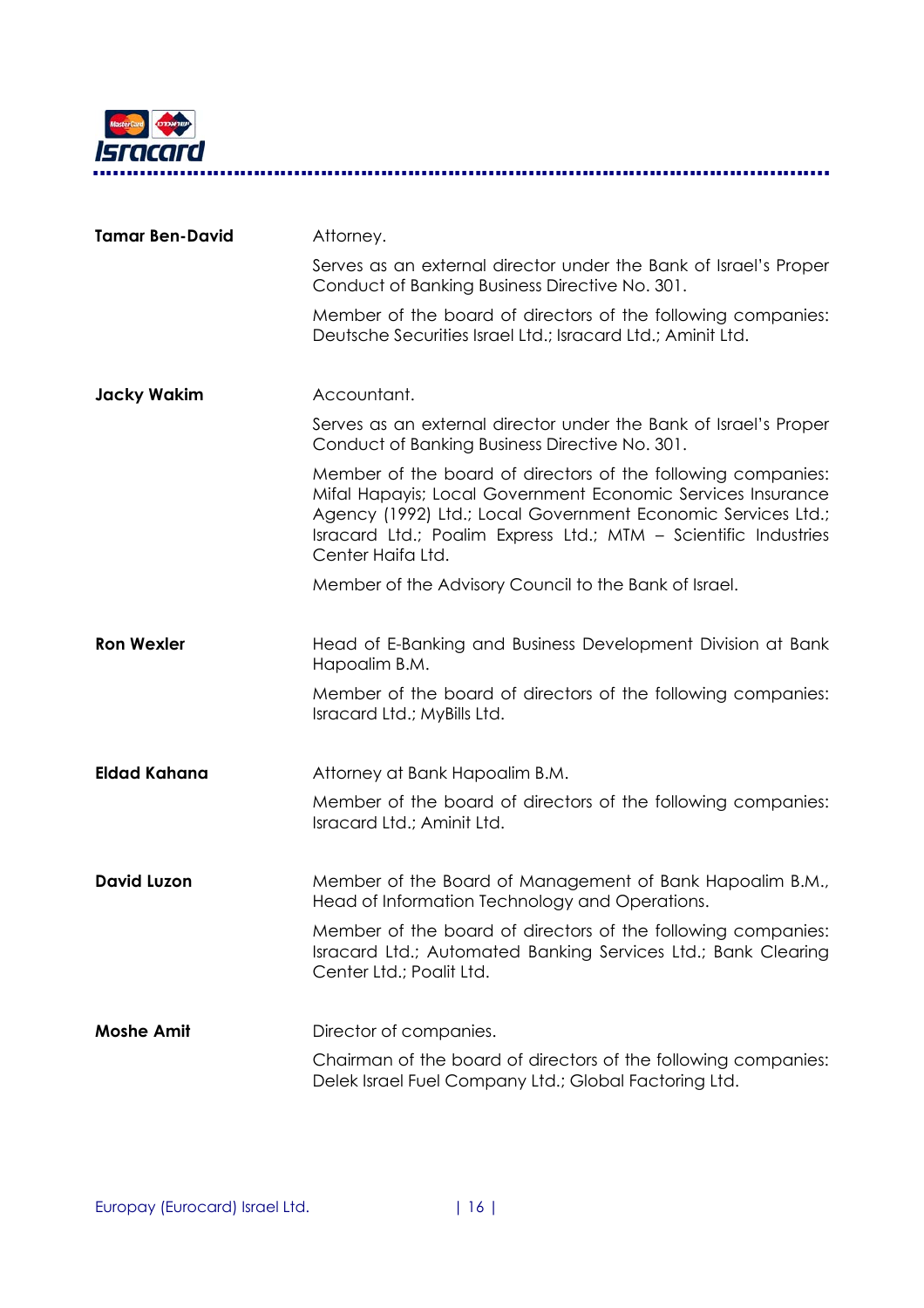

| <b>Tamar Ben-David</b> | Attorney.                                                                                                                                                                                                                                                                           |
|------------------------|-------------------------------------------------------------------------------------------------------------------------------------------------------------------------------------------------------------------------------------------------------------------------------------|
|                        | Serves as an external director under the Bank of Israel's Proper<br>Conduct of Banking Business Directive No. 301.                                                                                                                                                                  |
|                        | Member of the board of directors of the following companies:<br>Deutsche Securities Israel Ltd.; Isracard Ltd.; Aminit Ltd.                                                                                                                                                         |
|                        |                                                                                                                                                                                                                                                                                     |
| <b>Jacky Wakim</b>     | Accountant.                                                                                                                                                                                                                                                                         |
|                        | Serves as an external director under the Bank of Israel's Proper<br>Conduct of Banking Business Directive No. 301.                                                                                                                                                                  |
|                        | Member of the board of directors of the following companies:<br>Mifal Hapayis; Local Government Economic Services Insurance<br>Agency (1992) Ltd.; Local Government Economic Services Ltd.;<br>Isracard Ltd.; Poalim Express Ltd.; MTM - Scientific Industries<br>Center Haifa Ltd. |
|                        | Member of the Advisory Council to the Bank of Israel.                                                                                                                                                                                                                               |
|                        |                                                                                                                                                                                                                                                                                     |
| <b>Ron Wexler</b>      | Head of E-Banking and Business Development Division at Bank<br>Hapoalim B.M.                                                                                                                                                                                                        |
|                        | Member of the board of directors of the following companies:<br>Isracard Ltd.; MyBills Ltd.                                                                                                                                                                                         |
| <b>Eldad Kahana</b>    | Attorney at Bank Hapoalim B.M.                                                                                                                                                                                                                                                      |
|                        | Member of the board of directors of the following companies:<br>Isracard Ltd.; Aminit Ltd.                                                                                                                                                                                          |
| <b>David Luzon</b>     | Member of the Board of Management of Bank Hapoalim B.M.,<br>Head of Information Technology and Operations.                                                                                                                                                                          |
|                        | Member of the board of directors of the following companies:<br>Isracard Ltd.; Automated Banking Services Ltd.; Bank Clearing<br>Center Ltd.; Poalit Ltd.                                                                                                                           |
| <b>Moshe Amit</b>      | Director of companies.                                                                                                                                                                                                                                                              |
|                        | Chairman of the board of directors of the following companies:<br>Delek Israel Fuel Company Ltd.; Global Factoring Ltd.                                                                                                                                                             |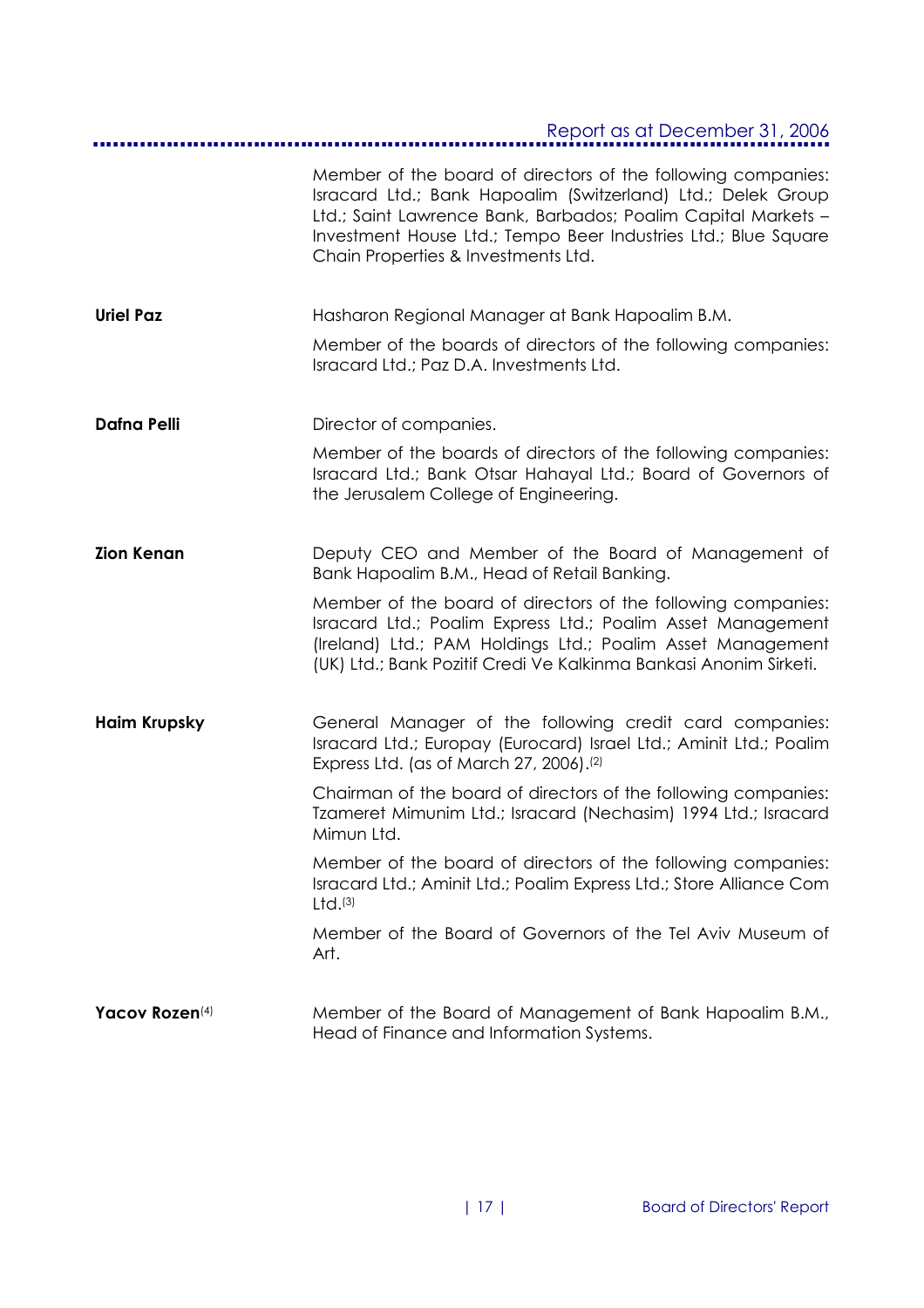**Report as at December 31, 2006** 

|                            | Member of the board of directors of the following companies:<br>Isracard Ltd.; Bank Hapoalim (Switzerland) Ltd.; Delek Group<br>Ltd.; Saint Lawrence Bank, Barbados; Poalim Capital Markets -<br>Investment House Ltd.; Tempo Beer Industries Ltd.; Blue Square<br>Chain Properties & Investments Ltd. |
|----------------------------|--------------------------------------------------------------------------------------------------------------------------------------------------------------------------------------------------------------------------------------------------------------------------------------------------------|
| <b>Uriel Paz</b>           | Hasharon Regional Manager at Bank Hapoalim B.M.                                                                                                                                                                                                                                                        |
|                            | Member of the boards of directors of the following companies:<br>Isracard Ltd.; Paz D.A. Investments Ltd.                                                                                                                                                                                              |
| <b>Dafna Pelli</b>         | Director of companies.                                                                                                                                                                                                                                                                                 |
|                            | Member of the boards of directors of the following companies:<br>Isracard Ltd.; Bank Otsar Hahayal Ltd.; Board of Governors of<br>the Jerusalem College of Engineering.                                                                                                                                |
| <b>Zion Kenan</b>          | Deputy CEO and Member of the Board of Management of<br>Bank Hapoalim B.M., Head of Retail Banking.                                                                                                                                                                                                     |
|                            | Member of the board of directors of the following companies:<br>Isracard Ltd.; Poalim Express Ltd.; Poalim Asset Management<br>(Ireland) Ltd.; PAM Holdings Ltd.; Poalim Asset Management<br>(UK) Ltd.; Bank Pozitif Credi Ve Kalkinma Bankasi Anonim Sirketi.                                         |
| <b>Haim Krupsky</b>        | General Manager of the following credit card companies:<br>Isracard Ltd.; Europay (Eurocard) Israel Ltd.; Aminit Ltd.; Poalim<br>Express Ltd. (as of March 27, 2006). <sup>(2)</sup>                                                                                                                   |
|                            | Chairman of the board of directors of the following companies:<br>Tzameret Mimunim Ltd.; Isracard (Nechasim) 1994 Ltd.; Isracard<br>Mimun Ltd.                                                                                                                                                         |
|                            | Member of the board of directors of the following companies:<br>Isracard Ltd.; Aminit Ltd.; Poalim Express Ltd.; Store Alliance Com<br>$Ltd.$ <sup>(3)</sup>                                                                                                                                           |
|                            | Member of the Board of Governors of the Tel Aviv Museum of<br>Art.                                                                                                                                                                                                                                     |
| Yacov Rozen <sup>(4)</sup> | Member of the Board of Management of Bank Hapoalim B.M.,<br>Head of Finance and Information Systems.                                                                                                                                                                                                   |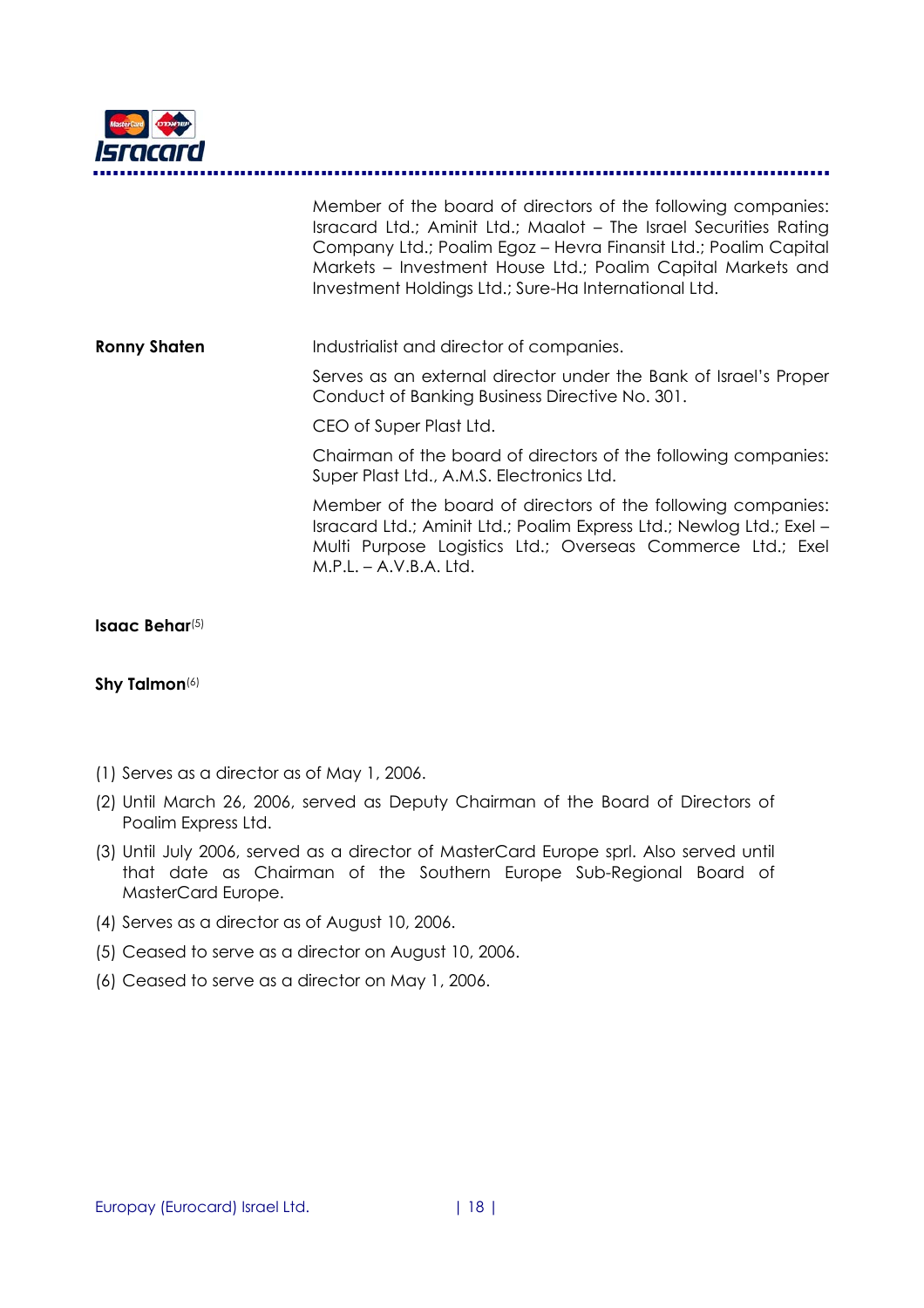

|                     | Member of the board of directors of the following companies:<br>Isracard Ltd.; Aminit Ltd.; Maalot - The Israel Securities Rating<br>Company Ltd.; Poalim Egoz - Hevra Finansit Ltd.; Poalim Capital<br>Markets – Investment House Ltd.; Poalim Capital Markets and<br>Investment Holdings Ltd.; Sure-Ha International Ltd. |
|---------------------|-----------------------------------------------------------------------------------------------------------------------------------------------------------------------------------------------------------------------------------------------------------------------------------------------------------------------------|
| <b>Ronny Shaten</b> | Industrialist and director of companies.                                                                                                                                                                                                                                                                                    |
|                     | Serves as an external director under the Bank of Israel's Proper<br>Conduct of Banking Business Directive No. 301.                                                                                                                                                                                                          |
|                     | CEO of Super Plast Ltd.                                                                                                                                                                                                                                                                                                     |
|                     | Chairman of the board of directors of the following companies:<br>Super Plast Ltd., A.M.S. Electronics Ltd.                                                                                                                                                                                                                 |
|                     | Member of the board of directors of the following companies:<br>Isracard Ltd.; Aminit Ltd.; Poalim Express Ltd.; Newlog Ltd.; Exel -<br>Multi Purpose Logistics Ltd.; Overseas Commerce Ltd.; Exel<br>M.P.L. – A.V.B.A. Ltd.                                                                                                |

#### **Isaac Behar**(5)

#### **Shy Talmon**(6)

- (1) Serves as a director as of May 1, 2006.
- (2) Until March 26, 2006, served as Deputy Chairman of the Board of Directors of Poalim Express Ltd.
- (3) Until July 2006, served as a director of MasterCard Europe sprl. Also served until that date as Chairman of the Southern Europe Sub-Regional Board of MasterCard Europe.
- (4) Serves as a director as of August 10, 2006.
- (5) Ceased to serve as a director on August 10, 2006.
- (6) Ceased to serve as a director on May 1, 2006.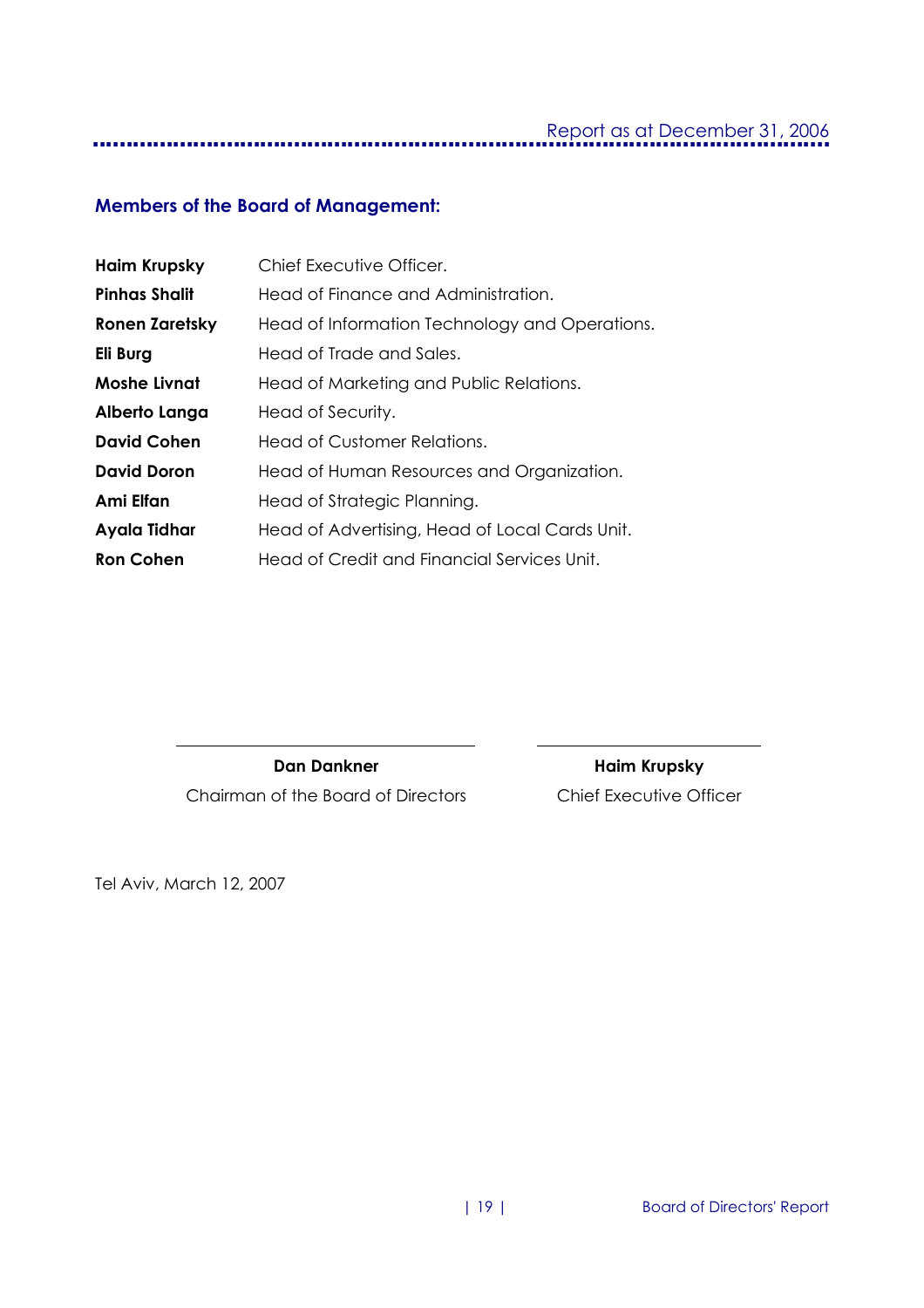# Report as at December 31, 2006

# **Members of the Board of Management:**

| <b>Haim Krupsky</b>   | Chief Executive Officer.                       |
|-----------------------|------------------------------------------------|
| <b>Pinhas Shalit</b>  | Head of Finance and Administration.            |
| <b>Ronen Zaretsky</b> | Head of Information Technology and Operations. |
| Eli Burg              | Head of Trade and Sales.                       |
| <b>Moshe Livnat</b>   | Head of Marketing and Public Relations.        |
| Alberto Langa         | Head of Security.                              |
| <b>David Cohen</b>    | Head of Customer Relations.                    |
| <b>David Doron</b>    | Head of Human Resources and Organization.      |
| Ami Elfan             | Head of Strategic Planning.                    |
| Ayala Tidhar          | Head of Advertising, Head of Local Cards Unit. |
| <b>Ron Cohen</b>      | Head of Credit and Financial Services Unit.    |

**Dan Dankner**  Chairman of the Board of Directors

**Haim Krupsky**  Chief Executive Officer

Tel Aviv, March 12, 2007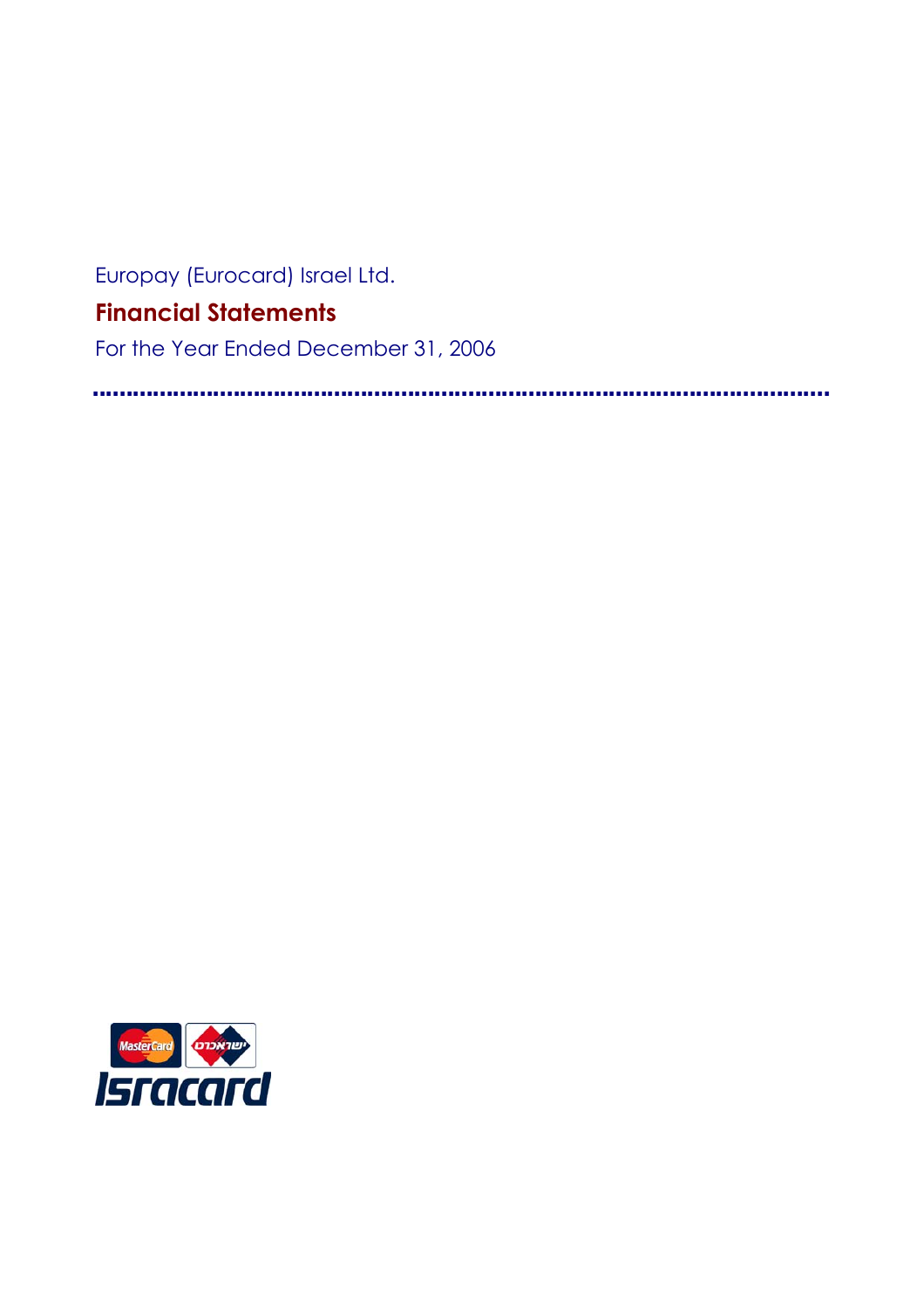Europay (Eurocard) Israel Ltd.

# **Financial Statements**

For the Year Ended December 31, 2006

..........................

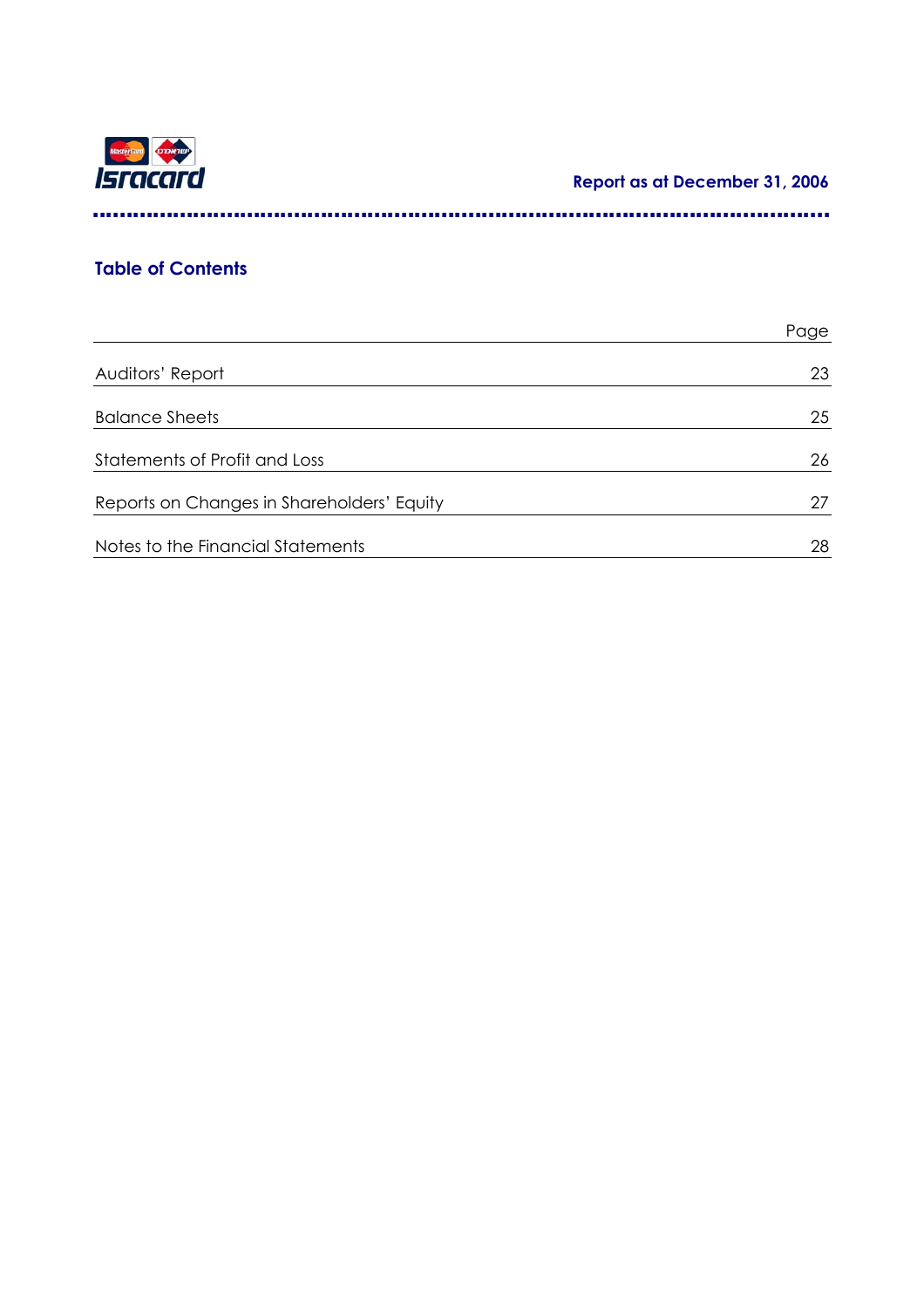

# **Table of Contents**

|                                            | Page |
|--------------------------------------------|------|
| Auditors' Report                           | 23   |
| <b>Balance Sheets</b>                      | 25   |
| Statements of Profit and Loss              | 26   |
| Reports on Changes in Shareholders' Equity | 27   |
| Notes to the Financial Statements          | 28   |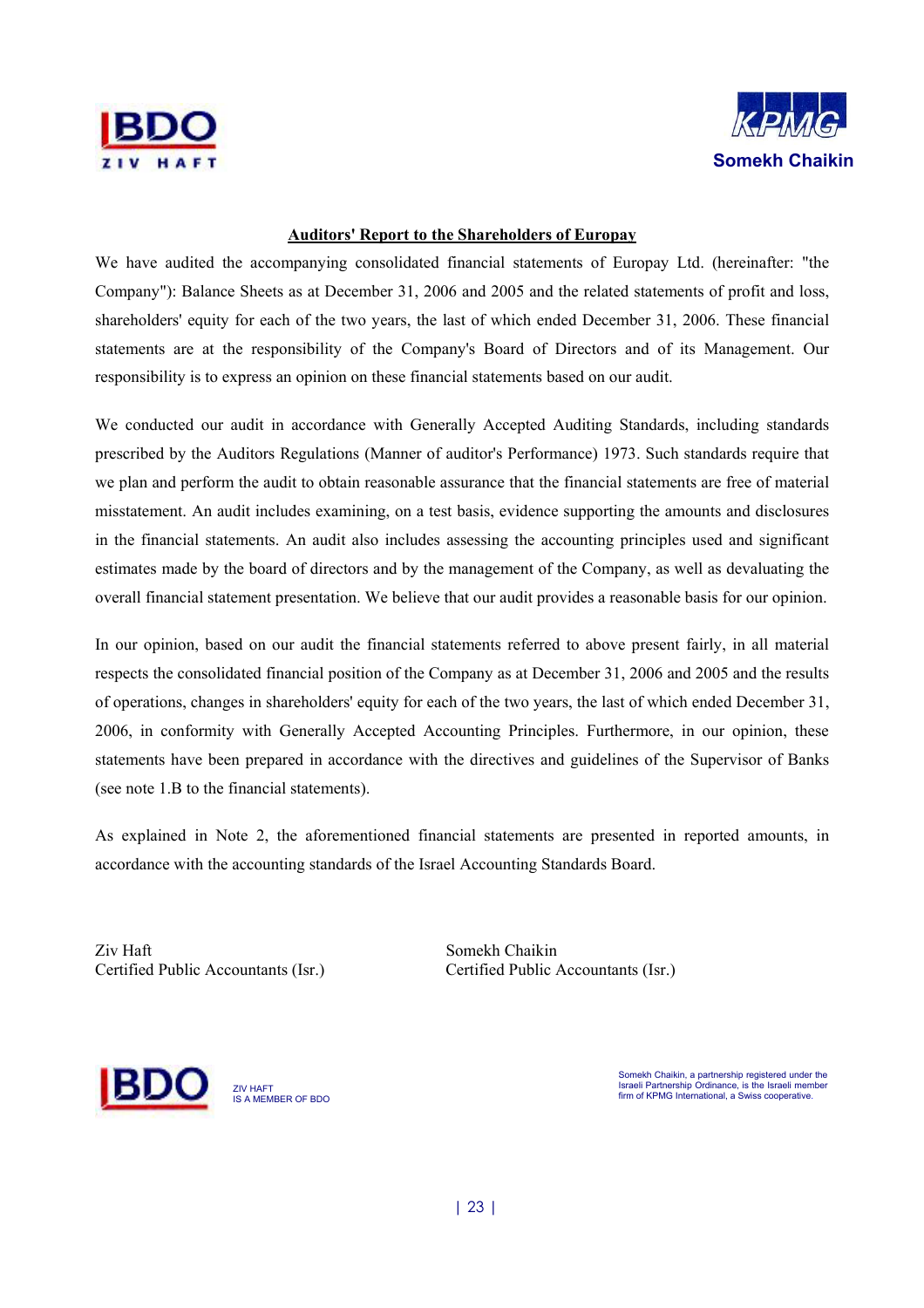



#### **Auditors' Report to the Shareholders of Europay**

We have audited the accompanying consolidated financial statements of Europay Ltd. (hereinafter: "the Company"): Balance Sheets as at December 31, 2006 and 2005 and the related statements of profit and loss, shareholders' equity for each of the two years, the last of which ended December 31, 2006. These financial statements are at the responsibility of the Company's Board of Directors and of its Management. Our responsibility is to express an opinion on these financial statements based on our audit.

We conducted our audit in accordance with Generally Accepted Auditing Standards, including standards prescribed by the Auditors Regulations (Manner of auditor's Performance) 1973. Such standards require that we plan and perform the audit to obtain reasonable assurance that the financial statements are free of material misstatement. An audit includes examining, on a test basis, evidence supporting the amounts and disclosures in the financial statements. An audit also includes assessing the accounting principles used and significant estimates made by the board of directors and by the management of the Company, as well as devaluating the overall financial statement presentation. We believe that our audit provides a reasonable basis for our opinion.

In our opinion, based on our audit the financial statements referred to above present fairly, in all material respects the consolidated financial position of the Company as at December 31, 2006 and 2005 and the results of operations, changes in shareholders' equity for each of the two years, the last of which ended December 31, 2006, in conformity with Generally Accepted Accounting Principles. Furthermore, in our opinion, these statements have been prepared in accordance with the directives and guidelines of the Supervisor of Banks (see note 1.B to the financial statements).

As explained in Note 2, the aforementioned financial statements are presented in reported amounts, in accordance with the accounting standards of the Israel Accounting Standards Board.

Ziv Haft Somekh Chaikin

Certified Public Accountants (Isr.) Certified Public Accountants (Isr.)



Somekh Chaikin, a partnership registered under the Israeli Partnership Ordinance, is the Israeli member firm of KPMG International, a Swiss cooperative.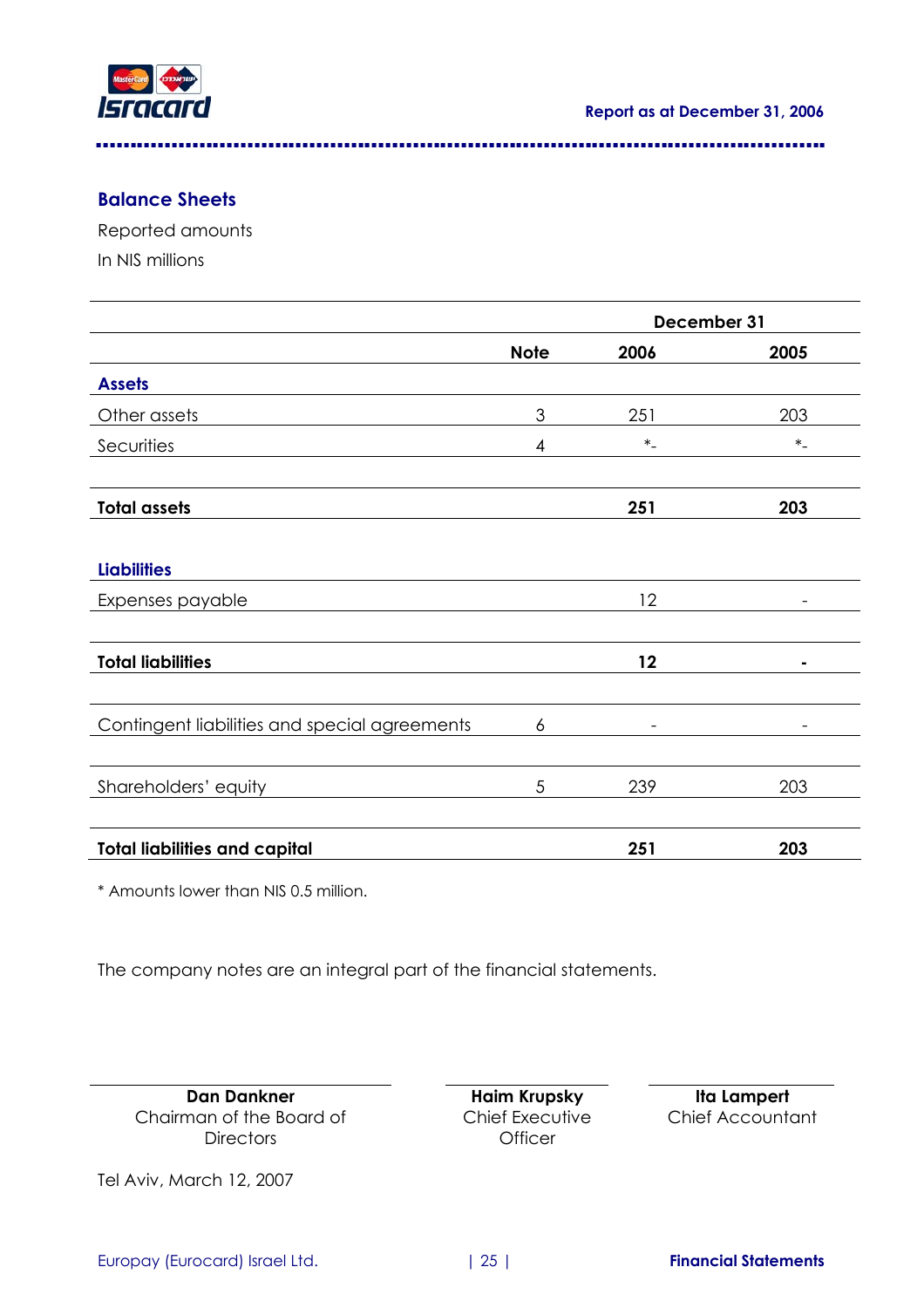

# **Balance Sheets**

Reported amounts In NIS millions

|                                               |             | December 31 |                          |
|-----------------------------------------------|-------------|-------------|--------------------------|
|                                               | <b>Note</b> | 2006        | 2005                     |
| <b>Assets</b>                                 |             |             |                          |
| Other assets                                  | 3           | 251         | 203                      |
| Securities                                    | 4           | $*_{-}$     | $\ast$ _                 |
| <b>Total assets</b>                           |             | 251         | 203                      |
| <b>Liabilities</b>                            |             |             |                          |
| Expenses payable                              |             | 12          |                          |
| <b>Total liabilities</b>                      |             | $12 \,$     | ٠                        |
| Contingent liabilities and special agreements | 6           |             | $\overline{\phantom{a}}$ |
| Shareholders' equity                          | 5           | 239         | 203                      |
| <b>Total liabilities and capital</b>          |             | 251         | 203                      |

\* Amounts lower than NIS 0.5 million.

The company notes are an integral part of the financial statements.

**Dan Dankner**  Chairman of the Board of **Directors** 

**Haim Krupsky**  Chief Executive **Officer** 

**Ita Lampert**  Chief Accountant

Tel Aviv, March 12, 2007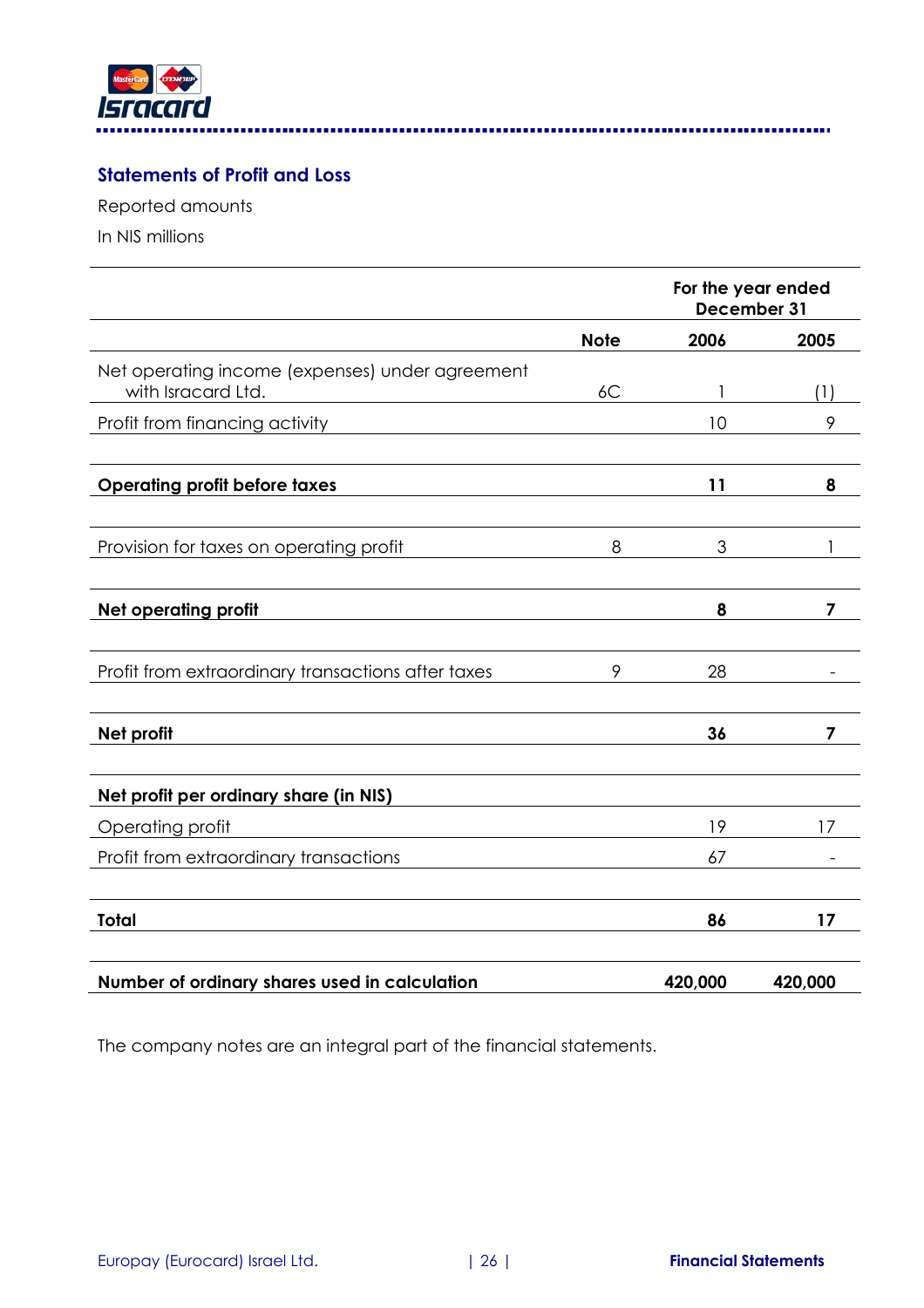

# **Statements of Profit and Loss**

Reported amounts

In NIS millions

|                                                                       |             |         | For the year ended<br>December 31 |
|-----------------------------------------------------------------------|-------------|---------|-----------------------------------|
|                                                                       | <b>Note</b> | 2006    | 2005                              |
| Net operating income (expenses) under agreement<br>with Isracard Ltd. | 6C          |         | (1)                               |
| Profit from financing activity                                        |             | 10      | 9                                 |
| <b>Operating profit before taxes</b>                                  |             | 11      | 8                                 |
| Provision for taxes on operating profit                               | 8           | 3       |                                   |
| <b>Net operating profit</b>                                           |             | 8       | 7                                 |
| Profit from extraordinary transactions after taxes                    | 9           | 28      |                                   |
| Net profit                                                            |             | 36      | 7                                 |
| Net profit per ordinary share (in NIS)                                |             |         |                                   |
| Operating profit                                                      |             | 19      | 17                                |
| Profit from extraordinary transactions                                |             | 67      |                                   |
| <b>Total</b>                                                          |             | 86      | 17                                |
| Number of ordinary shares used in calculation                         |             | 420,000 | 420,000                           |

The company notes are an integral part of the financial statements.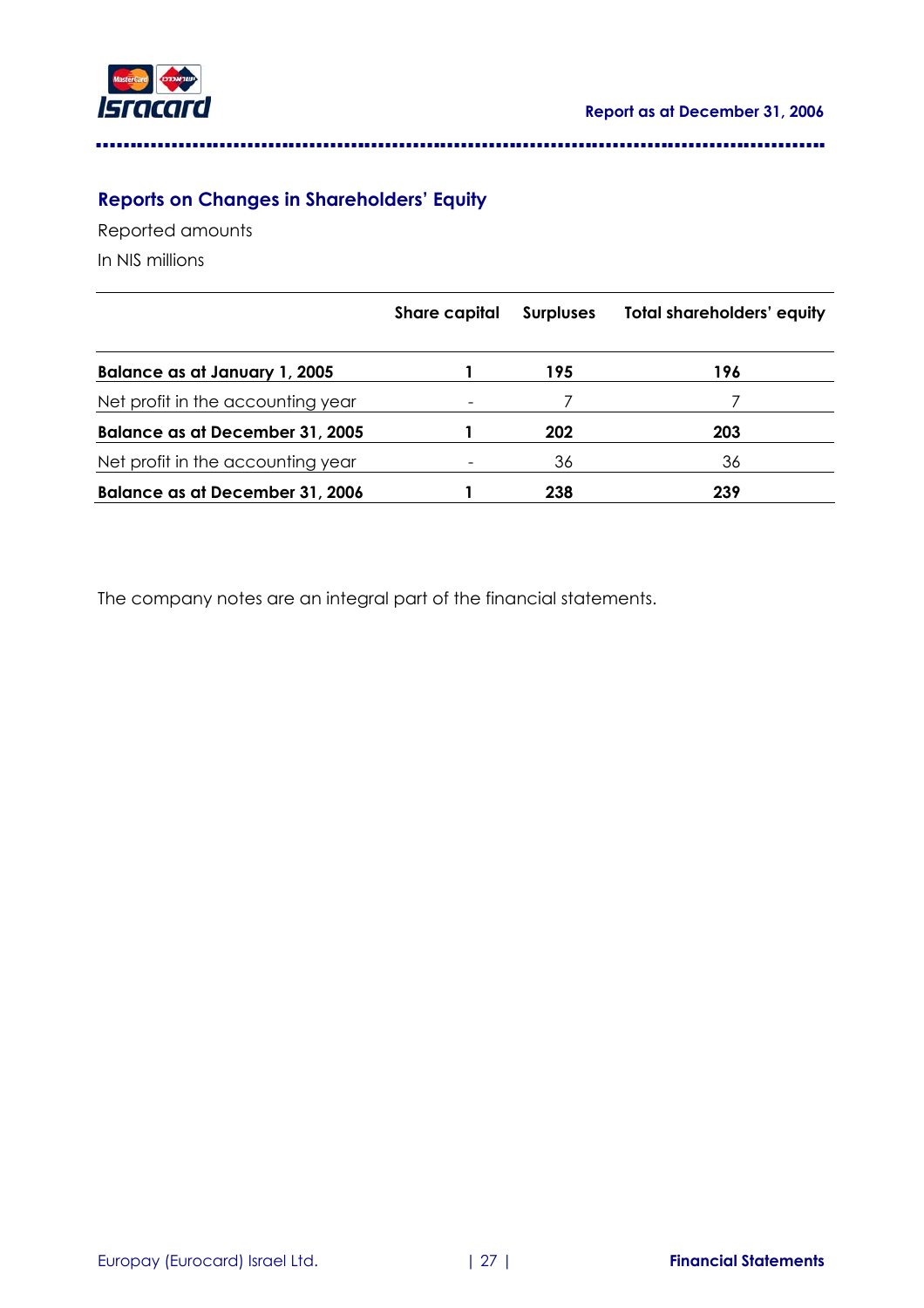

# **Reports on Changes in Shareholders' Equity**

Reported amounts

In NIS millions

|                                        | <b>Share capital</b> | <b>Surpluses</b> | <b>Total shareholders' equity</b> |
|----------------------------------------|----------------------|------------------|-----------------------------------|
| <b>Balance as at January 1, 2005</b>   |                      | 195              | 196                               |
| Net profit in the accounting year      |                      |                  |                                   |
| <b>Balance as at December 31, 2005</b> |                      | 202              | 203                               |
| Net profit in the accounting year      |                      | 36               | 36                                |
| <b>Balance as at December 31, 2006</b> |                      | 238              | 239                               |

The company notes are an integral part of the financial statements.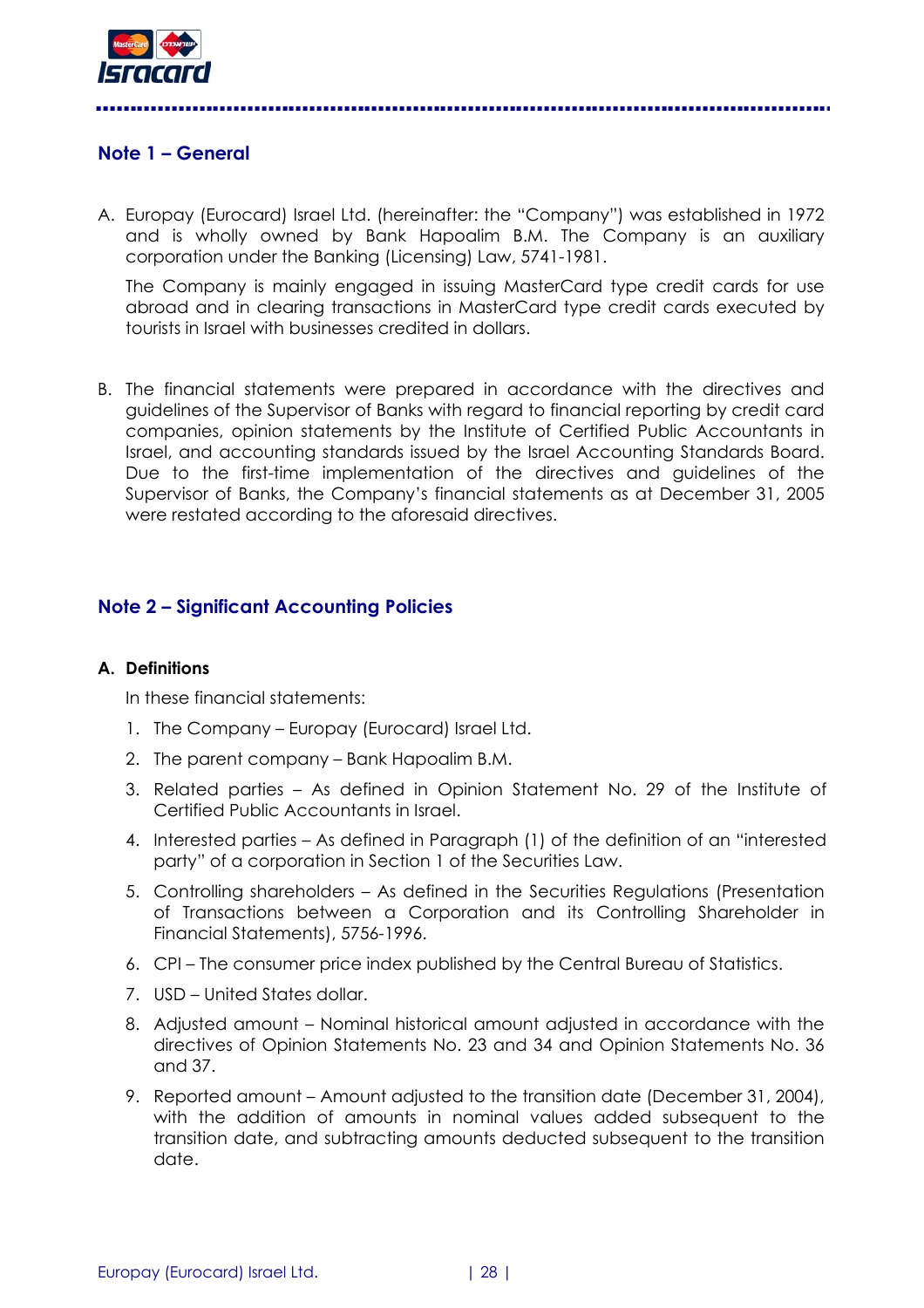

# **Note 1 – General**

A. Europay (Eurocard) Israel Ltd. (hereinafter: the "Company") was established in 1972 and is wholly owned by Bank Hapoalim B.M. The Company is an auxiliary corporation under the Banking (Licensing) Law, 5741-1981.

The Company is mainly engaged in issuing MasterCard type credit cards for use abroad and in clearing transactions in MasterCard type credit cards executed by tourists in Israel with businesses credited in dollars.

B. The financial statements were prepared in accordance with the directives and guidelines of the Supervisor of Banks with regard to financial reporting by credit card companies, opinion statements by the Institute of Certified Public Accountants in Israel, and accounting standards issued by the Israel Accounting Standards Board. Due to the first-time implementation of the directives and guidelines of the Supervisor of Banks, the Company's financial statements as at December 31, 2005 were restated according to the aforesaid directives.

# **Note 2 – Significant Accounting Policies**

#### **A. Definitions**

In these financial statements:

- 1. The Company Europay (Eurocard) Israel Ltd.
- 2. The parent company Bank Hapoalim B.M.
- 3. Related parties As defined in Opinion Statement No. 29 of the Institute of Certified Public Accountants in Israel.
- 4. Interested parties As defined in Paragraph (1) of the definition of an "interested party" of a corporation in Section 1 of the Securities Law.
- 5. Controlling shareholders As defined in the Securities Regulations (Presentation of Transactions between a Corporation and its Controlling Shareholder in Financial Statements), 5756-1996.
- 6. CPI The consumer price index published by the Central Bureau of Statistics.
- 7. USD United States dollar.
- 8. Adjusted amount Nominal historical amount adjusted in accordance with the directives of Opinion Statements No. 23 and 34 and Opinion Statements No. 36 and 37.
- 9. Reported amount Amount adjusted to the transition date (December 31, 2004), with the addition of amounts in nominal values added subsequent to the transition date, and subtracting amounts deducted subsequent to the transition date.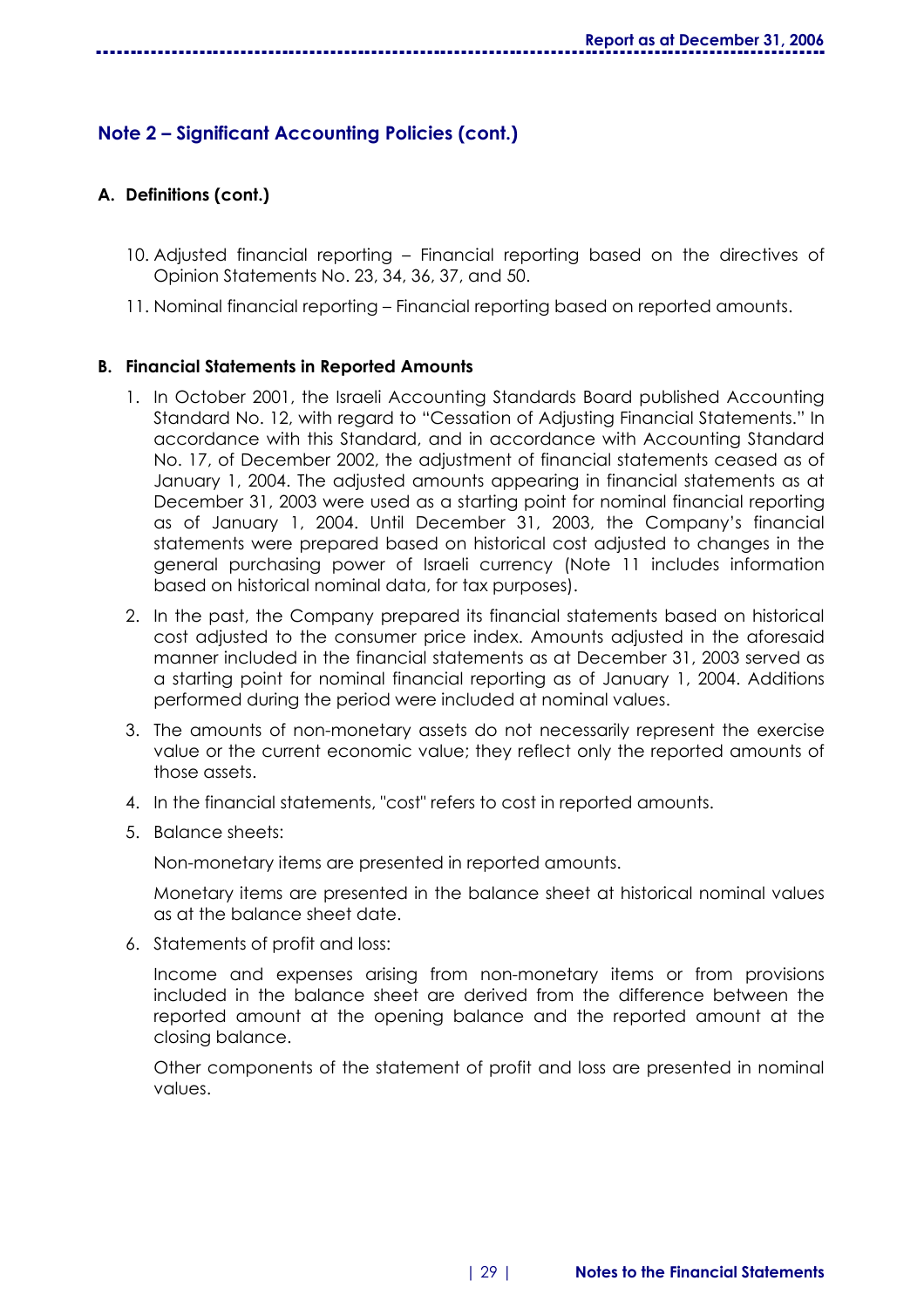# **A. Definitions (cont.)**

- 10. Adjusted financial reporting Financial reporting based on the directives of Opinion Statements No. 23, 34, 36, 37, and 50.
- 11. Nominal financial reporting Financial reporting based on reported amounts.

### **B. Financial Statements in Reported Amounts**

- 1. In October 2001, the Israeli Accounting Standards Board published Accounting Standard No. 12, with regard to "Cessation of Adjusting Financial Statements." In accordance with this Standard, and in accordance with Accounting Standard No. 17, of December 2002, the adjustment of financial statements ceased as of January 1, 2004. The adjusted amounts appearing in financial statements as at December 31, 2003 were used as a starting point for nominal financial reporting as of January 1, 2004. Until December 31, 2003, the Company's financial statements were prepared based on historical cost adjusted to changes in the general purchasing power of Israeli currency (Note 11 includes information based on historical nominal data, for tax purposes).
- 2. In the past, the Company prepared its financial statements based on historical cost adjusted to the consumer price index. Amounts adjusted in the aforesaid manner included in the financial statements as at December 31, 2003 served as a starting point for nominal financial reporting as of January 1, 2004. Additions performed during the period were included at nominal values.
- 3. The amounts of non-monetary assets do not necessarily represent the exercise value or the current economic value; they reflect only the reported amounts of those assets.
- 4. In the financial statements, "cost" refers to cost in reported amounts.
- 5. Balance sheets:

Non-monetary items are presented in reported amounts.

Monetary items are presented in the balance sheet at historical nominal values as at the balance sheet date.

6. Statements of profit and loss:

Income and expenses arising from non-monetary items or from provisions included in the balance sheet are derived from the difference between the reported amount at the opening balance and the reported amount at the closing balance.

Other components of the statement of profit and loss are presented in nominal values.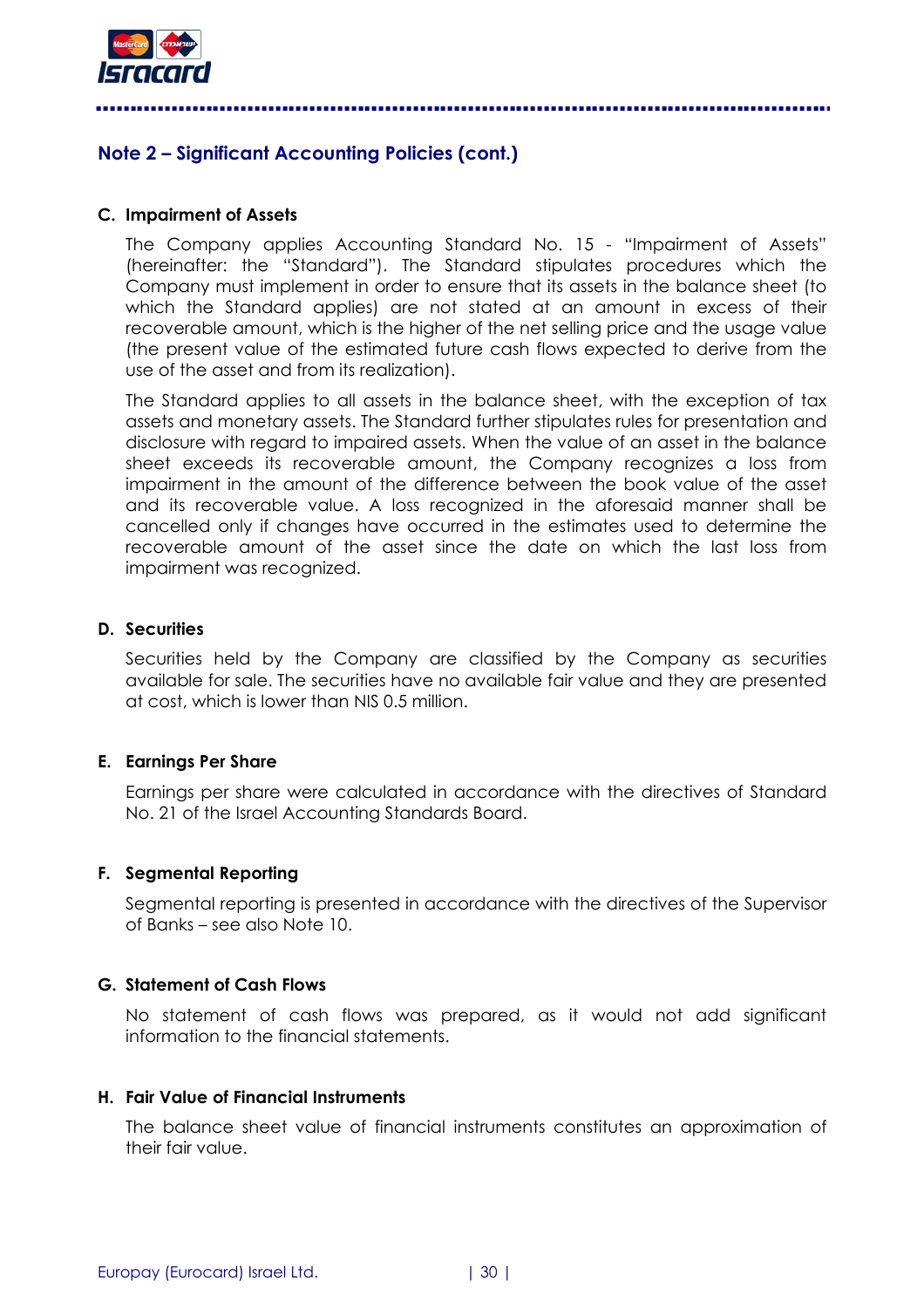

#### **C. Impairment of Assets**

The Company applies Accounting Standard No. 15 - "Impairment of Assets" (hereinafter: the "Standard"). The Standard stipulates procedures which the Company must implement in order to ensure that its assets in the balance sheet (to which the Standard applies) are not stated at an amount in excess of their recoverable amount, which is the higher of the net selling price and the usage value (the present value of the estimated future cash flows expected to derive from the use of the asset and from its realization).

The Standard applies to all assets in the balance sheet, with the exception of tax assets and monetary assets. The Standard further stipulates rules for presentation and disclosure with regard to impaired assets. When the value of an asset in the balance sheet exceeds its recoverable amount, the Company recognizes a loss from impairment in the amount of the difference between the book value of the asset and its recoverable value. A loss recognized in the aforesaid manner shall be cancelled only if changes have occurred in the estimates used to determine the recoverable amount of the asset since the date on which the last loss from impairment was recognized.

#### **D. Securities**

Securities held by the Company are classified by the Company as securities available for sale. The securities have no available fair value and they are presented at cost, which is lower than NIS 0.5 million.

#### **E. Earnings Per Share**

Earnings per share were calculated in accordance with the directives of Standard No. 21 of the Israel Accounting Standards Board.

#### **F. Segmental Reporting**

Segmental reporting is presented in accordance with the directives of the Supervisor of Banks – see also Note 10.

#### **G. Statement of Cash Flows**

No statement of cash flows was prepared, as it would not add significant information to the financial statements.

#### **H. Fair Value of Financial Instruments**

The balance sheet value of financial instruments constitutes an approximation of their fair value.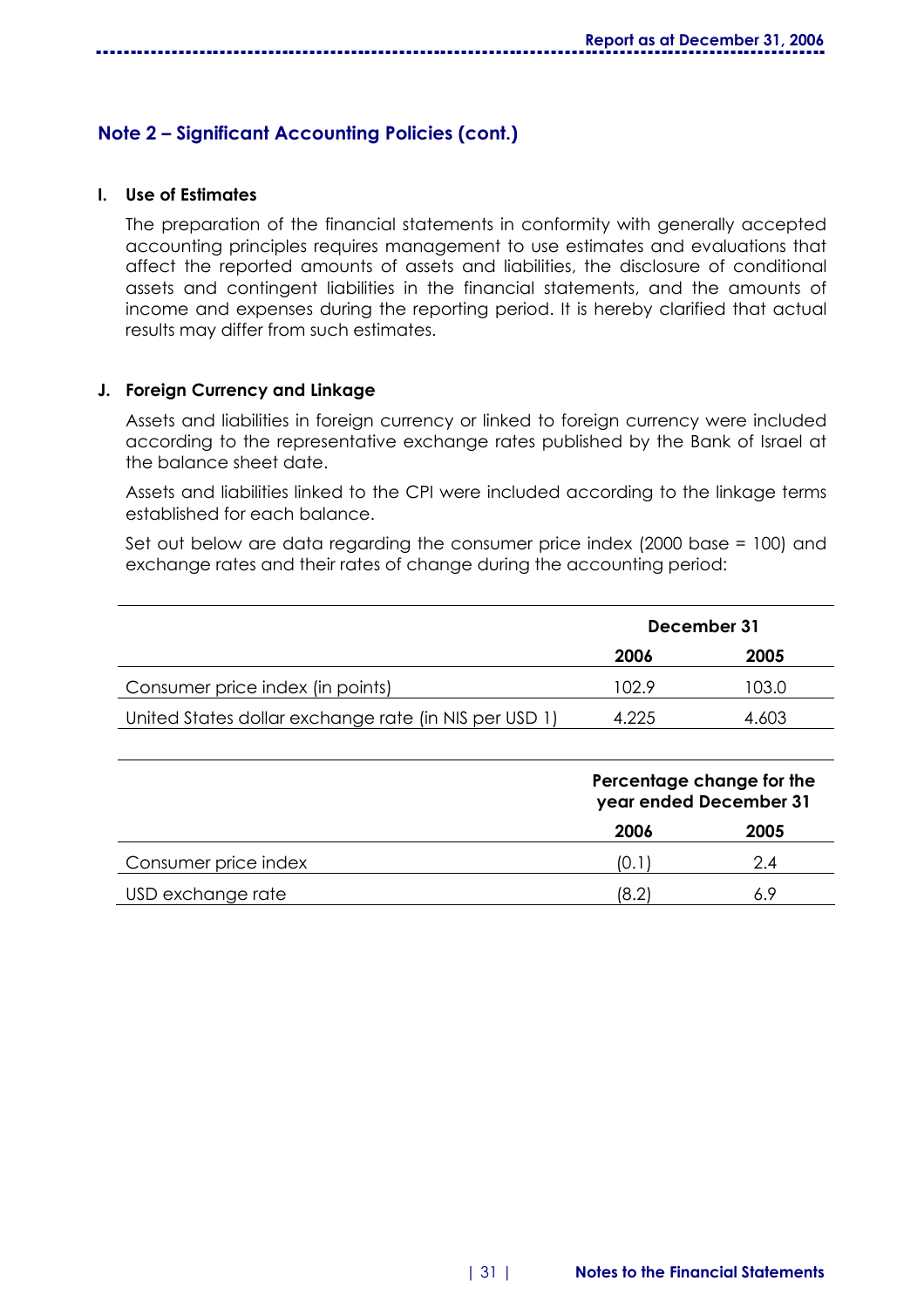#### **I. Use of Estimates**

The preparation of the financial statements in conformity with generally accepted accounting principles requires management to use estimates and evaluations that affect the reported amounts of assets and liabilities, the disclosure of conditional assets and contingent liabilities in the financial statements, and the amounts of income and expenses during the reporting period. It is hereby clarified that actual results may differ from such estimates.

#### **J. Foreign Currency and Linkage**

Assets and liabilities in foreign currency or linked to foreign currency were included according to the representative exchange rates published by the Bank of Israel at the balance sheet date.

Assets and liabilities linked to the CPI were included according to the linkage terms established for each balance.

Set out below are data regarding the consumer price index (2000 base = 100) and exchange rates and their rates of change during the accounting period:

|                                                       | December 31  |       |
|-------------------------------------------------------|--------------|-------|
|                                                       | 2006<br>2005 |       |
| Consumer price index (in points)                      | 102.9        | 103.0 |
| United States dollar exchange rate (in NIS per USD 1) | 4.225        | 4.603 |

|                      |       | Percentage change for the<br>year ended December 31 |
|----------------------|-------|-----------------------------------------------------|
|                      | 2006  | 2005                                                |
| Consumer price index | 10. L | 2.4                                                 |
| USD exchange rate    | (8.2) |                                                     |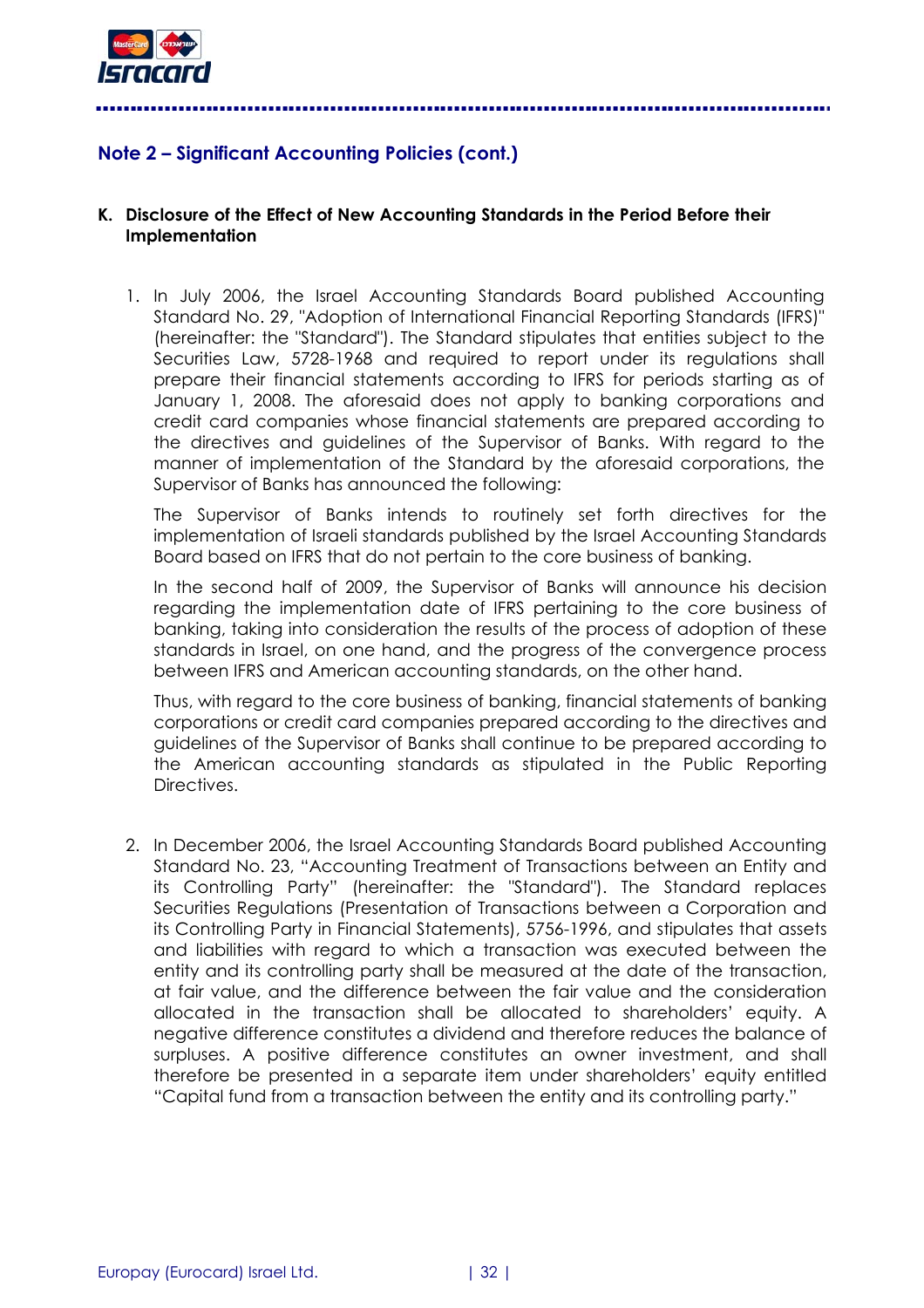

# **K. Disclosure of the Effect of New Accounting Standards in the Period Before their Implementation**

1. In July 2006, the Israel Accounting Standards Board published Accounting Standard No. 29, "Adoption of International Financial Reporting Standards (IFRS)" (hereinafter: the "Standard"). The Standard stipulates that entities subject to the Securities Law, 5728-1968 and required to report under its regulations shall prepare their financial statements according to IFRS for periods starting as of January 1, 2008. The aforesaid does not apply to banking corporations and credit card companies whose financial statements are prepared according to the directives and guidelines of the Supervisor of Banks. With regard to the manner of implementation of the Standard by the aforesaid corporations, the Supervisor of Banks has announced the following:

The Supervisor of Banks intends to routinely set forth directives for the implementation of Israeli standards published by the Israel Accounting Standards Board based on IFRS that do not pertain to the core business of banking.

In the second half of 2009, the Supervisor of Banks will announce his decision regarding the implementation date of IFRS pertaining to the core business of banking, taking into consideration the results of the process of adoption of these standards in Israel, on one hand, and the progress of the convergence process between IFRS and American accounting standards, on the other hand.

Thus, with regard to the core business of banking, financial statements of banking corporations or credit card companies prepared according to the directives and guidelines of the Supervisor of Banks shall continue to be prepared according to the American accounting standards as stipulated in the Public Reporting Directives.

2. In December 2006, the Israel Accounting Standards Board published Accounting Standard No. 23, "Accounting Treatment of Transactions between an Entity and its Controlling Party" (hereinafter: the "Standard"). The Standard replaces Securities Regulations (Presentation of Transactions between a Corporation and its Controlling Party in Financial Statements), 5756-1996, and stipulates that assets and liabilities with regard to which a transaction was executed between the entity and its controlling party shall be measured at the date of the transaction, at fair value, and the difference between the fair value and the consideration allocated in the transaction shall be allocated to shareholders' equity. A negative difference constitutes a dividend and therefore reduces the balance of surpluses. A positive difference constitutes an owner investment, and shall therefore be presented in a separate item under shareholders' equity entitled "Capital fund from a transaction between the entity and its controlling party."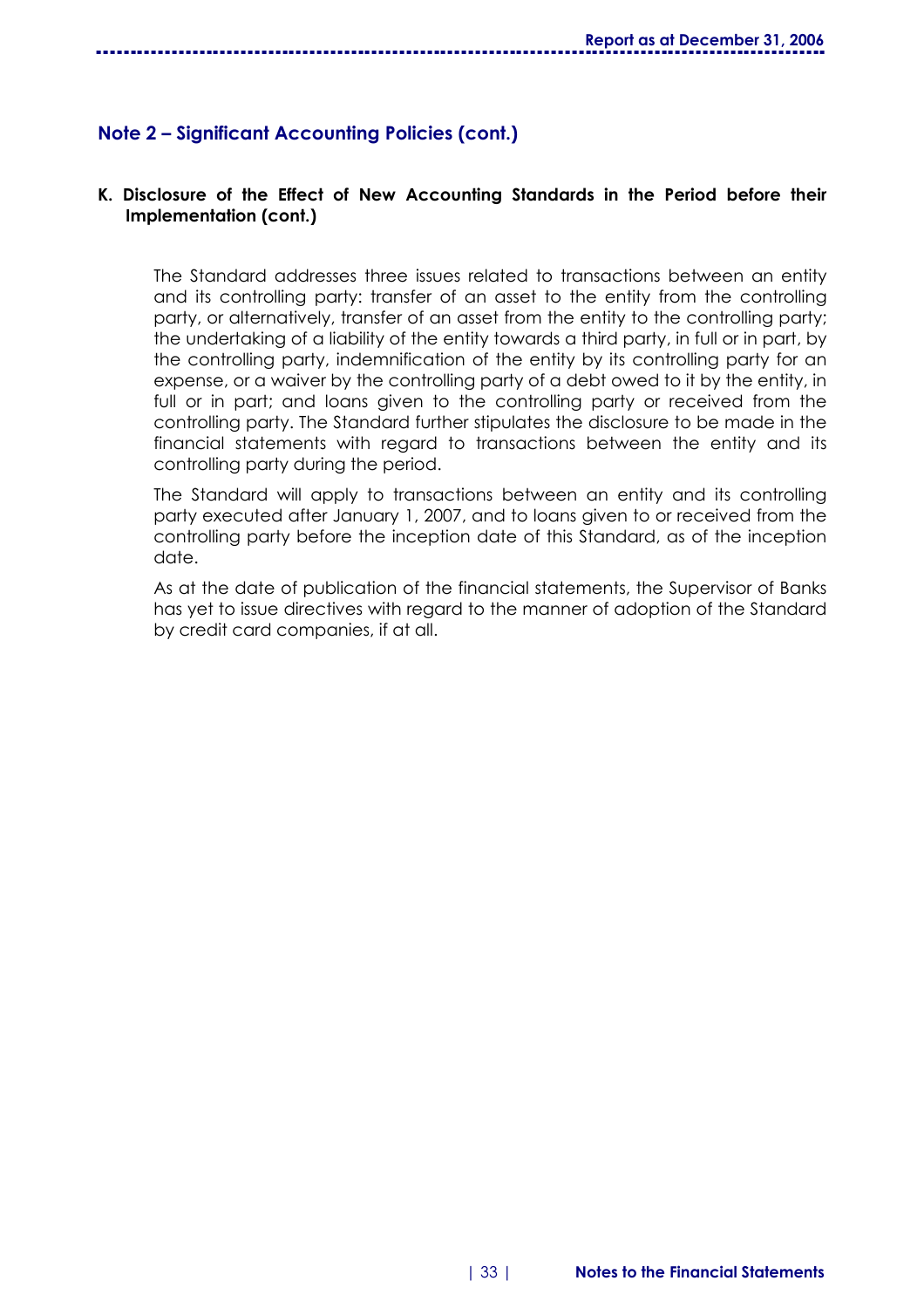#### **K. Disclosure of the Effect of New Accounting Standards in the Period before their Implementation (cont.)**

The Standard addresses three issues related to transactions between an entity and its controlling party: transfer of an asset to the entity from the controlling party, or alternatively, transfer of an asset from the entity to the controlling party; the undertaking of a liability of the entity towards a third party, in full or in part, by the controlling party, indemnification of the entity by its controlling party for an expense, or a waiver by the controlling party of a debt owed to it by the entity, in full or in part; and loans given to the controlling party or received from the controlling party. The Standard further stipulates the disclosure to be made in the financial statements with regard to transactions between the entity and its controlling party during the period.

The Standard will apply to transactions between an entity and its controlling party executed after January 1, 2007, and to loans given to or received from the controlling party before the inception date of this Standard, as of the inception date.

As at the date of publication of the financial statements, the Supervisor of Banks has yet to issue directives with regard to the manner of adoption of the Standard by credit card companies, if at all.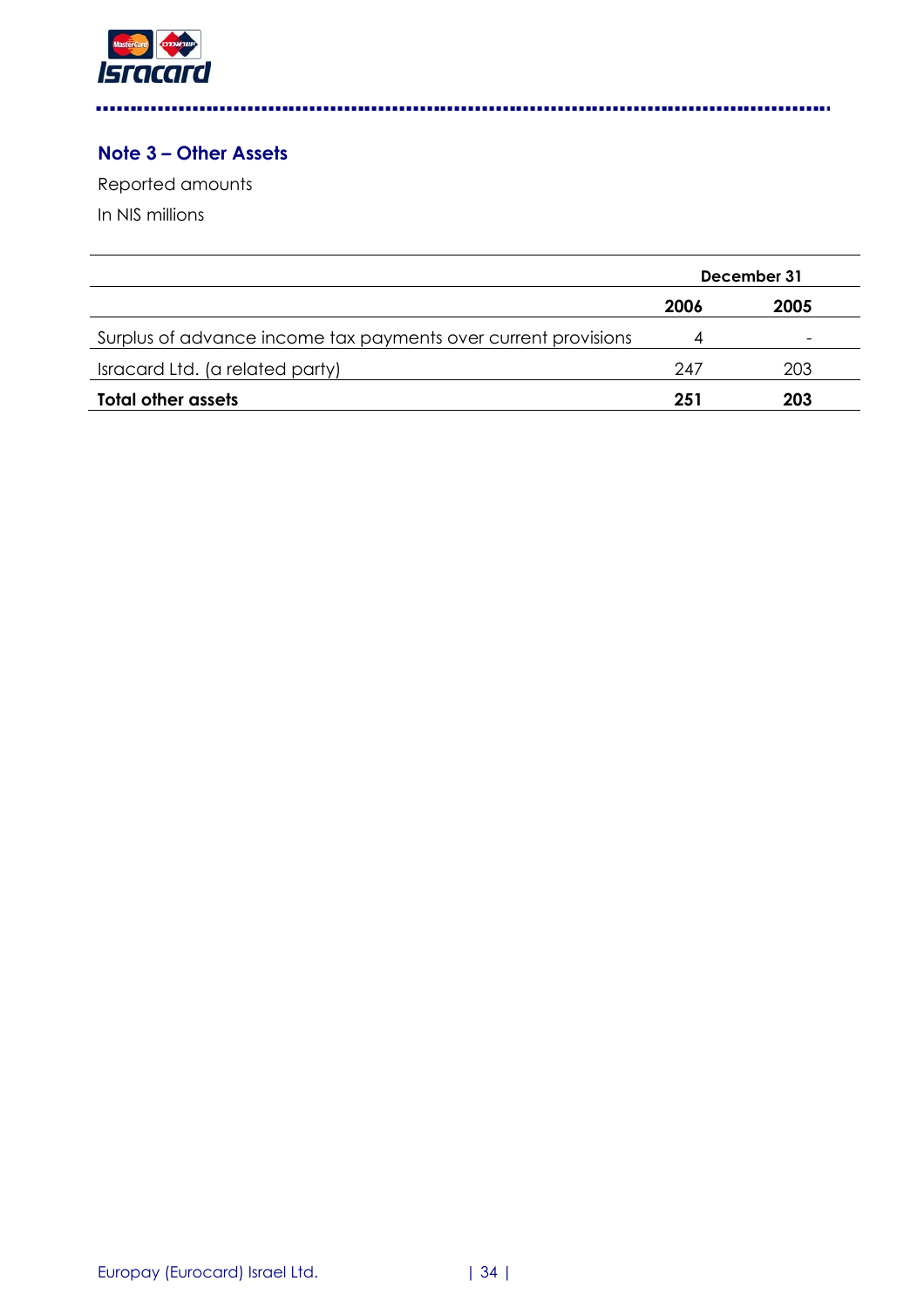

**Note 3 – Other Assets** 

Reported amounts In NIS millions

|                                                                |      | December 31 |
|----------------------------------------------------------------|------|-------------|
|                                                                | 2006 | 2005        |
| Surplus of advance income tax payments over current provisions |      |             |
| Isracard Ltd. (a related party)                                | 247  | 203         |
| <b>Total other assets</b>                                      | 251  | 203         |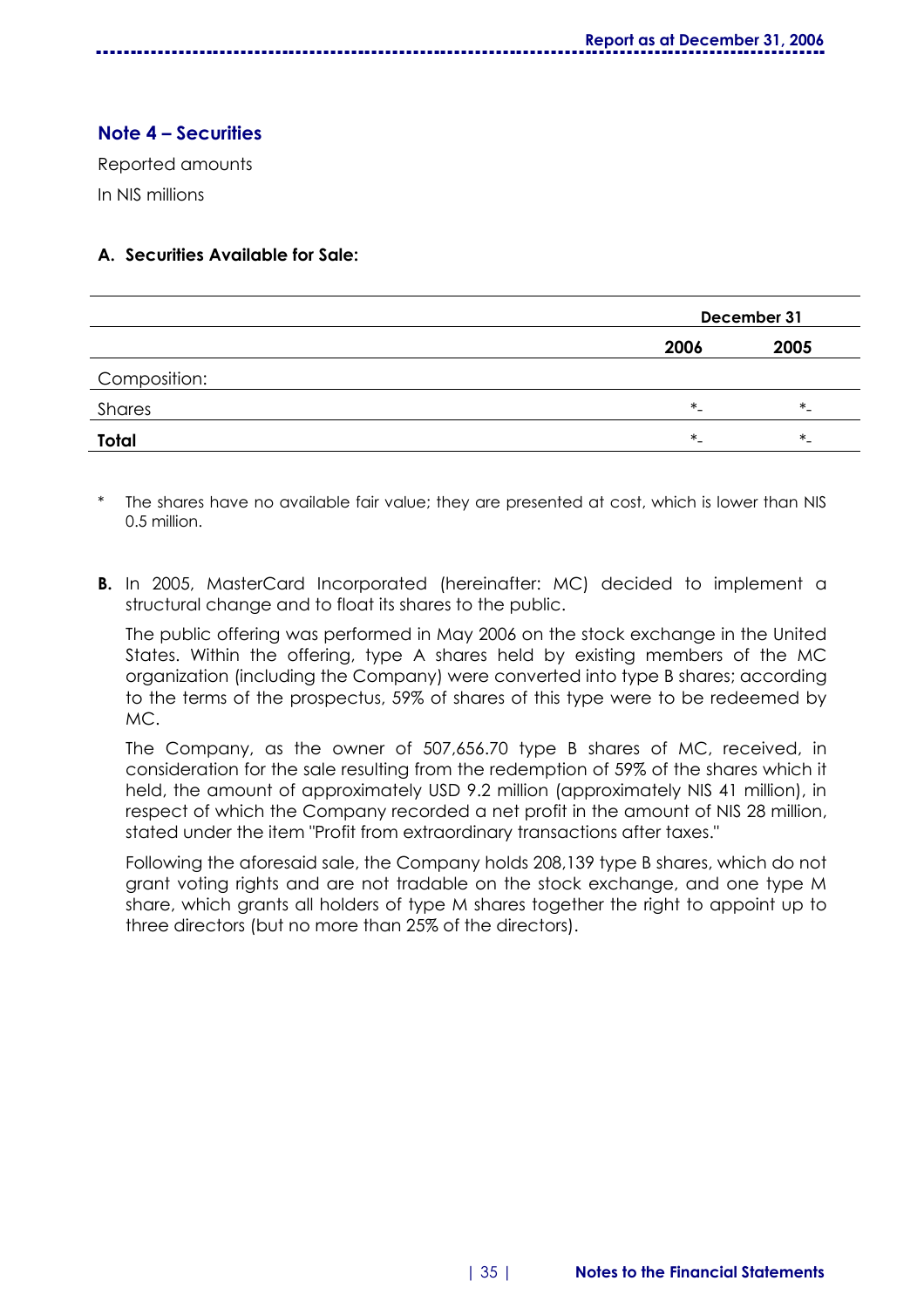# **Note 4 – Securities**

Reported amounts In NIS millions

#### **A. Securities Available for Sale:**

|              |        | December 31 |
|--------------|--------|-------------|
|              | 2006   | 2005        |
| Composition: |        |             |
| Shares       | $*$    | $*_{-}$     |
| <b>Total</b> | $\ast$ | $\ast$      |

The shares have no available fair value; they are presented at cost, which is lower than NIS 0.5 million.

**B.** In 2005, MasterCard Incorporated (hereinafter: MC) decided to implement a structural change and to float its shares to the public.

The public offering was performed in May 2006 on the stock exchange in the United States. Within the offering, type A shares held by existing members of the MC organization (including the Company) were converted into type B shares; according to the terms of the prospectus, 59% of shares of this type were to be redeemed by MC.

The Company, as the owner of 507,656.70 type B shares of MC, received, in consideration for the sale resulting from the redemption of 59% of the shares which it held, the amount of approximately USD 9.2 million (approximately NIS 41 million), in respect of which the Company recorded a net profit in the amount of NIS 28 million, stated under the item "Profit from extraordinary transactions after taxes."

Following the aforesaid sale, the Company holds 208,139 type B shares, which do not grant voting rights and are not tradable on the stock exchange, and one type M share, which grants all holders of type M shares together the right to appoint up to three directors (but no more than 25% of the directors).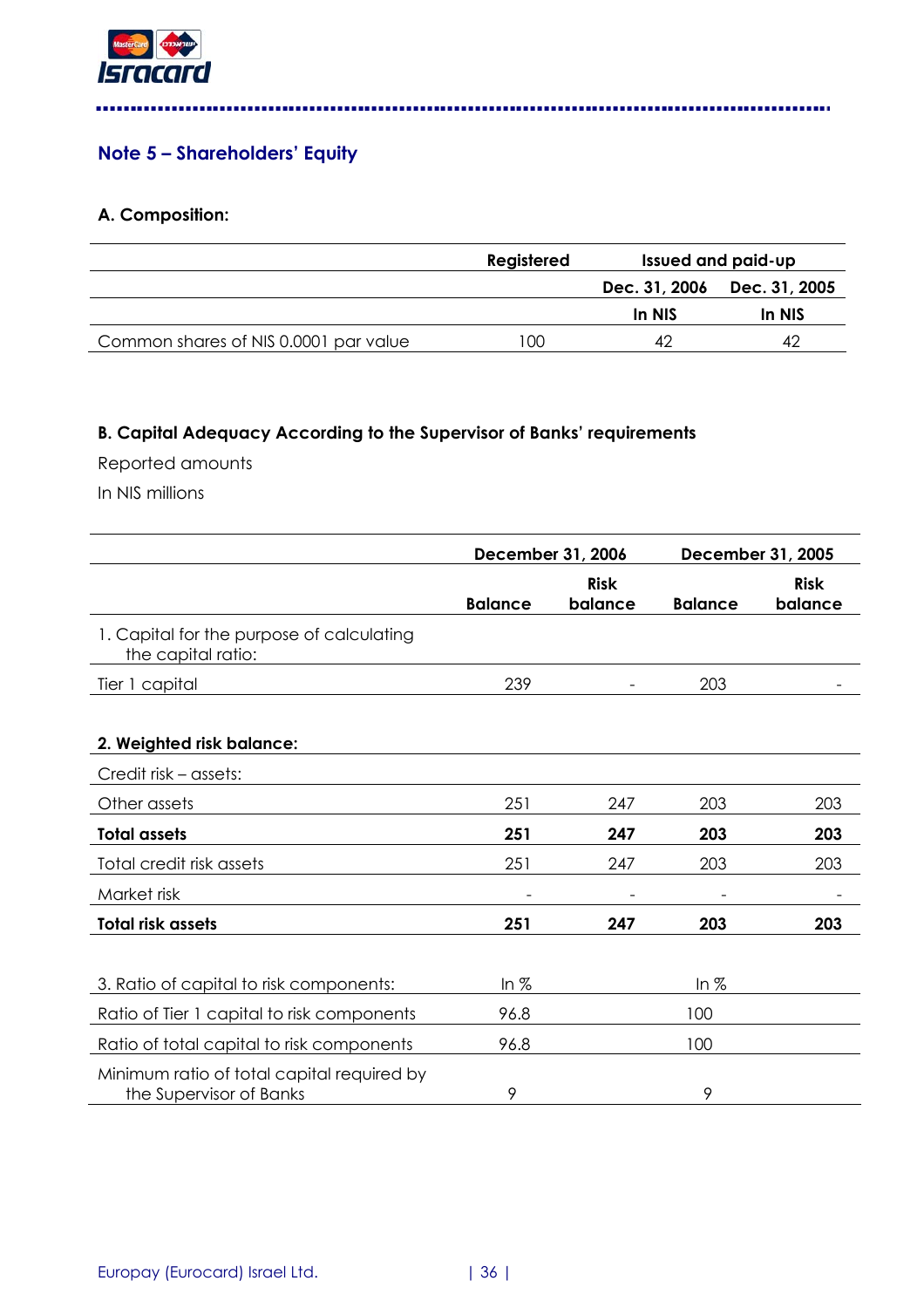

# **Note 5 – Shareholders' Equity**

# **A. Composition:**

|                                       | Registered | <b>Issued and paid-up</b> |               |
|---------------------------------------|------------|---------------------------|---------------|
|                                       |            | Dec. 31, 2006             | Dec. 31, 2005 |
|                                       |            | In NIS                    | In NIS        |
| Common shares of NIS 0.0001 par value | '00        | $4^\circ$                 |               |

# **B. Capital Adequacy According to the Supervisor of Banks' requirements**

Reported amounts

In NIS millions

|                                                                       | December 31, 2006 |                        |                | December 31, 2005      |  |
|-----------------------------------------------------------------------|-------------------|------------------------|----------------|------------------------|--|
|                                                                       | <b>Balance</b>    | <b>Risk</b><br>balance | <b>Balance</b> | <b>Risk</b><br>balance |  |
| 1. Capital for the purpose of calculating<br>the capital ratio:       |                   |                        |                |                        |  |
| Tier 1 capital                                                        | 239               |                        | 203            |                        |  |
| 2. Weighted risk balance:                                             |                   |                        |                |                        |  |
| Credit risk – assets:                                                 |                   |                        |                |                        |  |
| Other assets                                                          | 251               | 247                    | 203            | 203                    |  |
| <b>Total assets</b>                                                   | 251               | 247                    | 203            | 203                    |  |
| Total credit risk assets                                              | 251               | 247                    | 203            | 203                    |  |
| Market risk                                                           |                   |                        |                |                        |  |
| <b>Total risk assets</b>                                              | 251               | 247                    | 203            | 203                    |  |
|                                                                       |                   |                        |                |                        |  |
| 3. Ratio of capital to risk components:                               | In $%$            |                        | In $%$         |                        |  |
| Ratio of Tier 1 capital to risk components                            | 96.8              |                        | 100            |                        |  |
| Ratio of total capital to risk components                             | 96.8              |                        | 100            |                        |  |
| Minimum ratio of total capital required by<br>the Supervisor of Banks | 9                 |                        | 9              |                        |  |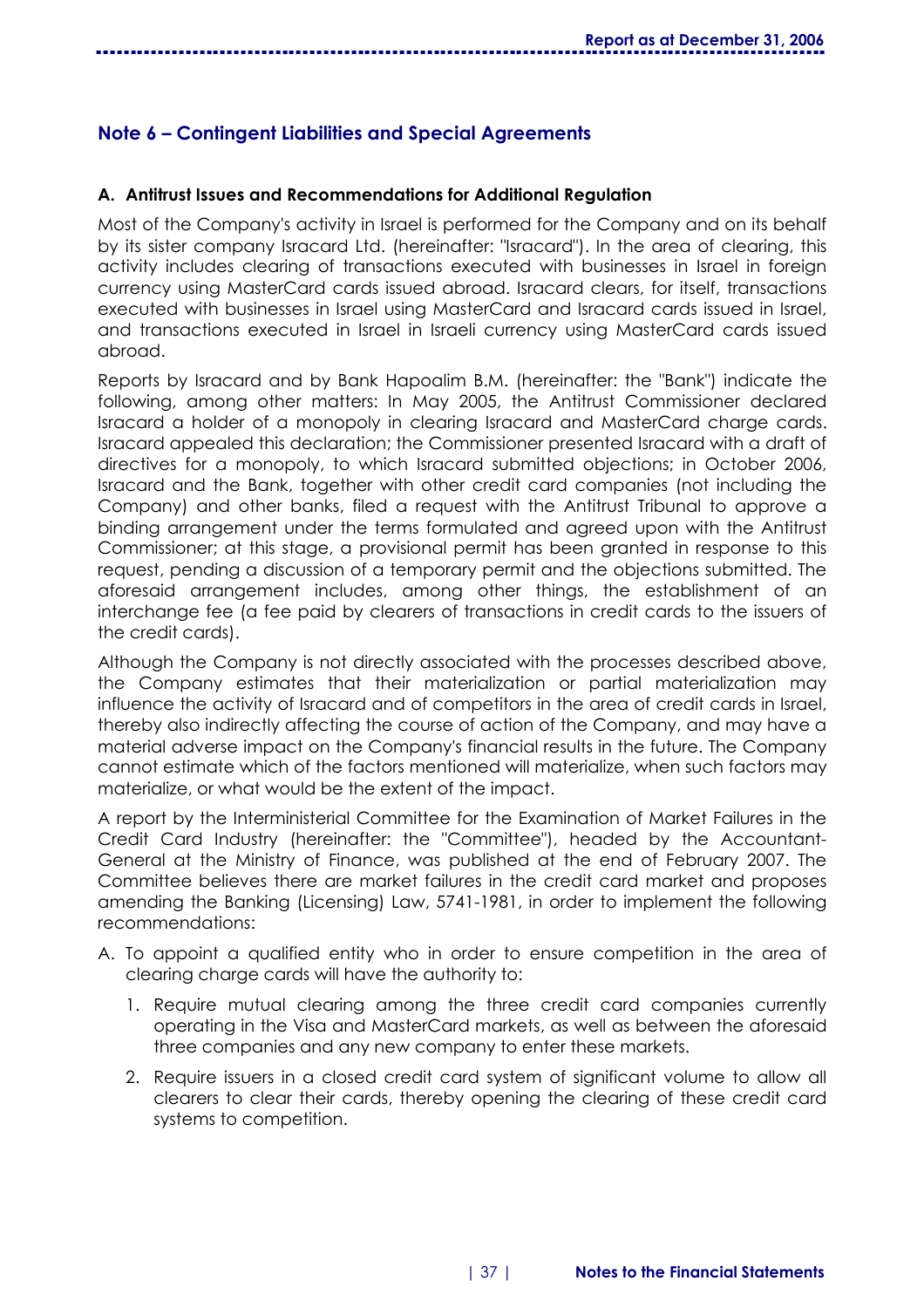# **Note 6 – Contingent Liabilities and Special Agreements**

#### **A. Antitrust Issues and Recommendations for Additional Regulation**

Most of the Company's activity in Israel is performed for the Company and on its behalf by its sister company Isracard Ltd. (hereinafter: "Isracard"). In the area of clearing, this activity includes clearing of transactions executed with businesses in Israel in foreign currency using MasterCard cards issued abroad. Isracard clears, for itself, transactions executed with businesses in Israel using MasterCard and Isracard cards issued in Israel, and transactions executed in Israel in Israeli currency using MasterCard cards issued abroad.

Reports by Isracard and by Bank Hapoalim B.M. (hereinafter: the "Bank") indicate the following, among other matters: In May 2005, the Antitrust Commissioner declared Isracard a holder of a monopoly in clearing Isracard and MasterCard charge cards. Isracard appealed this declaration; the Commissioner presented Isracard with a draft of directives for a monopoly, to which Isracard submitted objections; in October 2006, Isracard and the Bank, together with other credit card companies (not including the Company) and other banks, filed a request with the Antitrust Tribunal to approve a binding arrangement under the terms formulated and agreed upon with the Antitrust Commissioner; at this stage, a provisional permit has been granted in response to this request, pending a discussion of a temporary permit and the objections submitted. The aforesaid arrangement includes, among other things, the establishment of an interchange fee (a fee paid by clearers of transactions in credit cards to the issuers of the credit cards).

Although the Company is not directly associated with the processes described above, the Company estimates that their materialization or partial materialization may influence the activity of Isracard and of competitors in the area of credit cards in Israel, thereby also indirectly affecting the course of action of the Company, and may have a material adverse impact on the Company's financial results in the future. The Company cannot estimate which of the factors mentioned will materialize, when such factors may materialize, or what would be the extent of the impact.

A report by the Interministerial Committee for the Examination of Market Failures in the Credit Card Industry (hereinafter: the "Committee"), headed by the Accountant-General at the Ministry of Finance, was published at the end of February 2007. The Committee believes there are market failures in the credit card market and proposes amending the Banking (Licensing) Law, 5741-1981, in order to implement the following recommendations:

- A. To appoint a qualified entity who in order to ensure competition in the area of clearing charge cards will have the authority to:
	- 1. Require mutual clearing among the three credit card companies currently operating in the Visa and MasterCard markets, as well as between the aforesaid three companies and any new company to enter these markets.
	- 2. Require issuers in a closed credit card system of significant volume to allow all clearers to clear their cards, thereby opening the clearing of these credit card systems to competition.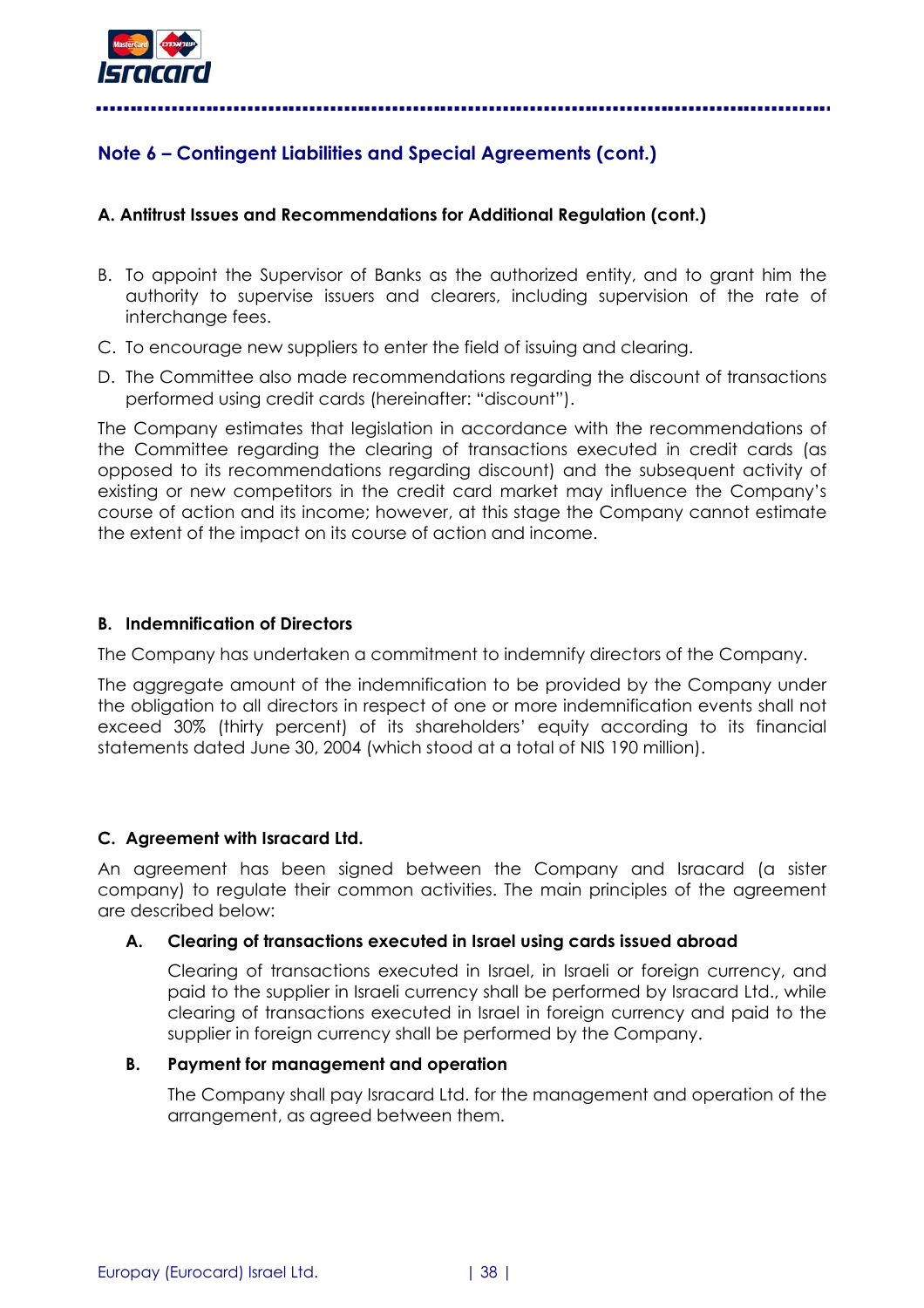

**Note 6 – Contingent Liabilities and Special Agreements (cont.)** 

# **A. Antitrust Issues and Recommendations for Additional Regulation (cont.)**

- B. To appoint the Supervisor of Banks as the authorized entity, and to grant him the authority to supervise issuers and clearers, including supervision of the rate of interchange fees.
- C. To encourage new suppliers to enter the field of issuing and clearing.
- D. The Committee also made recommendations regarding the discount of transactions performed using credit cards (hereinafter: "discount").

The Company estimates that legislation in accordance with the recommendations of the Committee regarding the clearing of transactions executed in credit cards (as opposed to its recommendations regarding discount) and the subsequent activity of existing or new competitors in the credit card market may influence the Company's course of action and its income; however, at this stage the Company cannot estimate the extent of the impact on its course of action and income.

# **B. Indemnification of Directors**

The Company has undertaken a commitment to indemnify directors of the Company.

The aggregate amount of the indemnification to be provided by the Company under the obligation to all directors in respect of one or more indemnification events shall not exceed 30% (thirty percent) of its shareholders' equity according to its financial statements dated June 30, 2004 (which stood at a total of NIS 190 million).

# **C. Agreement with Isracard Ltd.**

An agreement has been signed between the Company and Isracard (a sister company) to regulate their common activities. The main principles of the agreement are described below:

# **A. Clearing of transactions executed in Israel using cards issued abroad**

Clearing of transactions executed in Israel, in Israeli or foreign currency, and paid to the supplier in Israeli currency shall be performed by Isracard Ltd., while clearing of transactions executed in Israel in foreign currency and paid to the supplier in foreign currency shall be performed by the Company.

#### **B. Payment for management and operation**

The Company shall pay Isracard Ltd. for the management and operation of the arrangement, as agreed between them.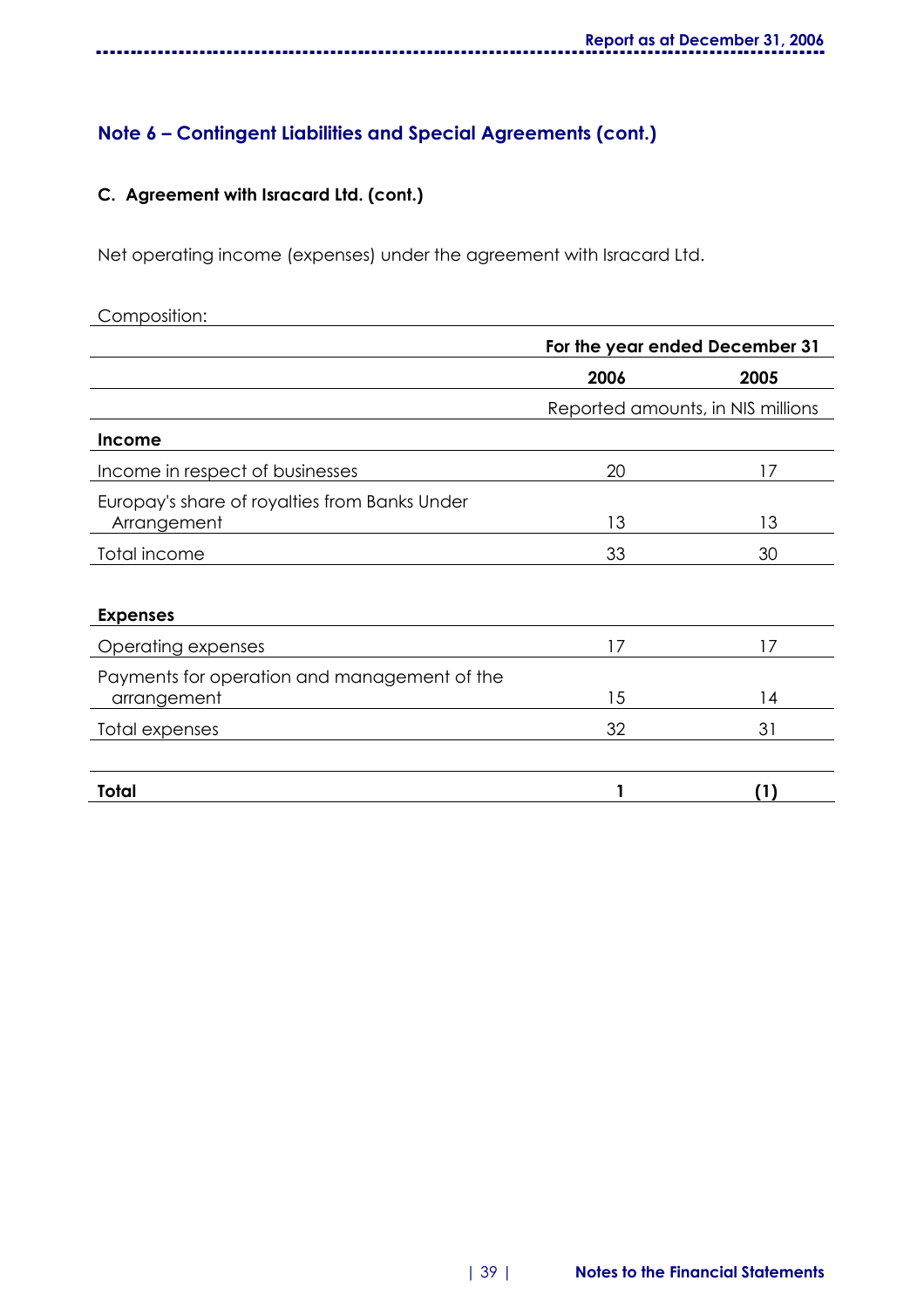# **Note 6 – Contingent Liabilities and Special Agreements (cont.)**

# **C. Agreement with Isracard Ltd. (cont.)**

Net operating income (expenses) under the agreement with Isracard Ltd.

| Composition:                                                 |                                |                                   |
|--------------------------------------------------------------|--------------------------------|-----------------------------------|
|                                                              | For the year ended December 31 |                                   |
|                                                              | 2006                           | 2005                              |
|                                                              |                                | Reported amounts, in NIS millions |
| <b>Income</b>                                                |                                |                                   |
| Income in respect of businesses                              | 20                             | 17                                |
| Europay's share of royalties from Banks Under<br>Arrangement | 13                             | 13                                |
| Total income                                                 | 33                             | 30                                |
| <b>Expenses</b>                                              |                                |                                   |
| Operating expenses                                           | 17                             | 17                                |
| Payments for operation and management of the<br>arrangement  | 15                             | 4                                 |
| Total expenses                                               | 32                             | 31                                |
|                                                              |                                |                                   |
| Total                                                        |                                | (1)                               |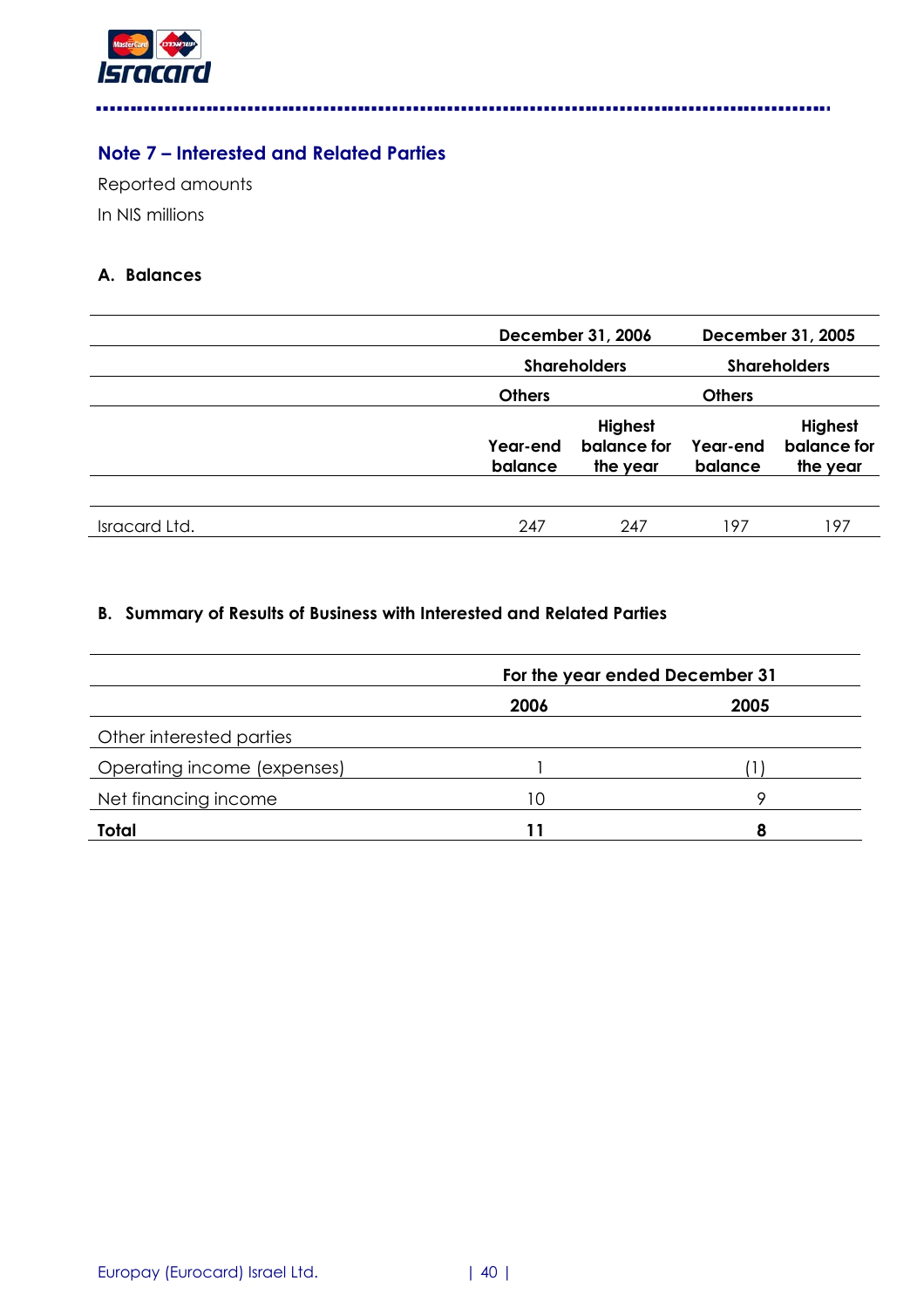

# **Note 7 – Interested and Related Parties**

Reported amounts In NIS millions

# **A. Balances**

|               |                     | December 31, 2006                  |                     | December 31, 2005                  |
|---------------|---------------------|------------------------------------|---------------------|------------------------------------|
|               |                     | <b>Shareholders</b>                |                     | <b>Shareholders</b>                |
|               | <b>Others</b>       |                                    | <b>Others</b>       |                                    |
|               | Year-end<br>balance | Highest<br>balance for<br>the year | Year-end<br>balance | Highest<br>balance for<br>the year |
|               |                     |                                    |                     |                                    |
| Isracard Ltd. | 247                 | 247                                | 197                 | 197                                |

# **B. Summary of Results of Business with Interested and Related Parties**

|                             | For the year ended December 31 |      |
|-----------------------------|--------------------------------|------|
|                             | 2006                           | 2005 |
| Other interested parties    |                                |      |
| Operating income (expenses) |                                |      |
| Net financing income        | 10                             |      |
| Total                       |                                | Ω    |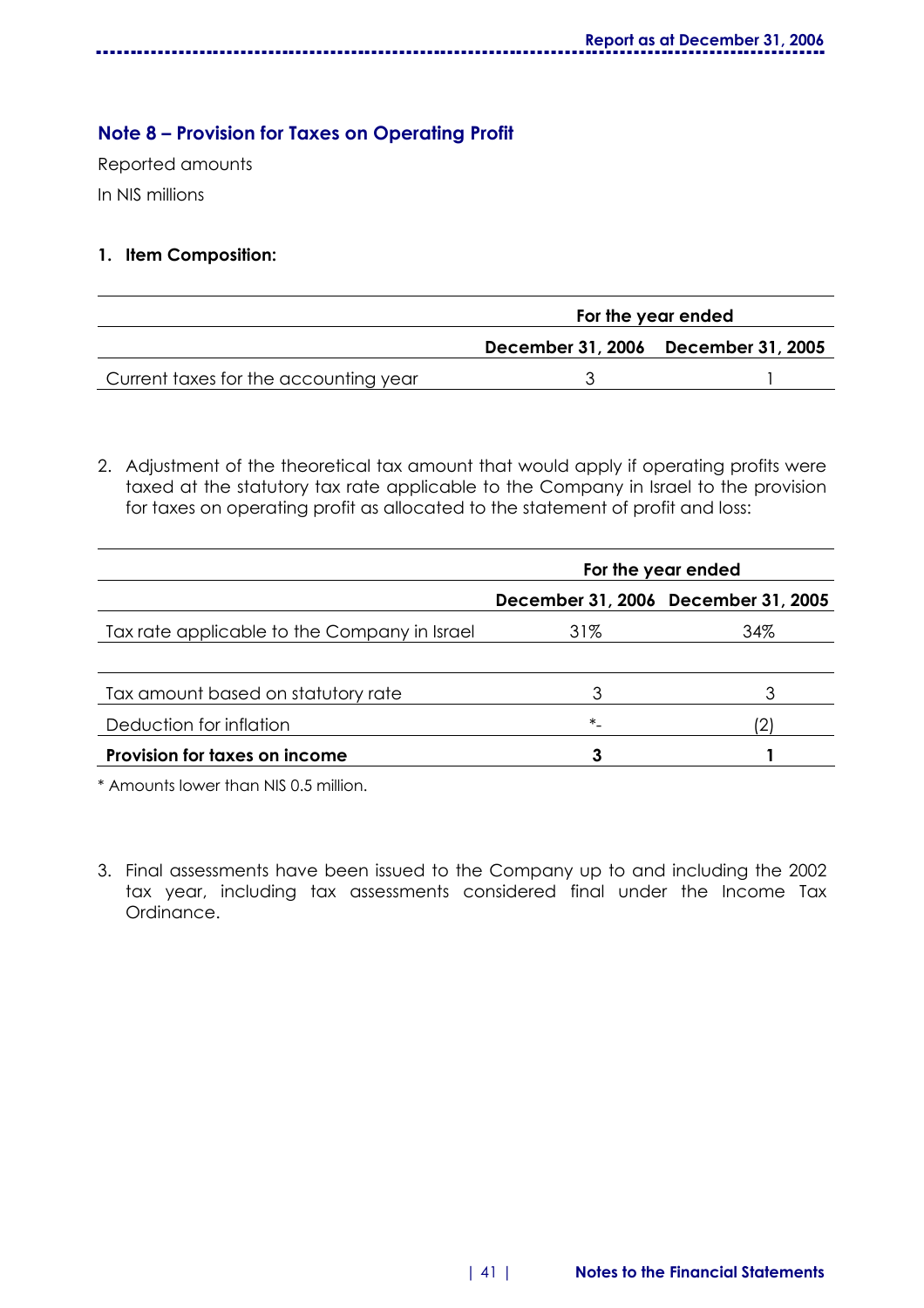# **Note 8 – Provision for Taxes on Operating Profit**

Reported amounts In NIS millions

#### **1. Item Composition:**

|                                       | For the year ended |                                     |
|---------------------------------------|--------------------|-------------------------------------|
|                                       |                    | December 31, 2006 December 31, 2005 |
| Current taxes for the accounting year |                    |                                     |

2. Adjustment of the theoretical tax amount that would apply if operating profits were taxed at the statutory tax rate applicable to the Company in Israel to the provision for taxes on operating profit as allocated to the statement of profit and loss:

|                                              | For the year ended |                                     |  |
|----------------------------------------------|--------------------|-------------------------------------|--|
|                                              |                    | December 31, 2006 December 31, 2005 |  |
| Tax rate applicable to the Company in Israel | 31%                | 34%                                 |  |
|                                              |                    |                                     |  |
| Tax amount based on statutory rate           |                    |                                     |  |
| Deduction for inflation                      | $*$                |                                     |  |
| Provision for taxes on income                |                    |                                     |  |

\* Amounts lower than NIS 0.5 million.

3. Final assessments have been issued to the Company up to and including the 2002 tax year, including tax assessments considered final under the Income Tax Ordinance.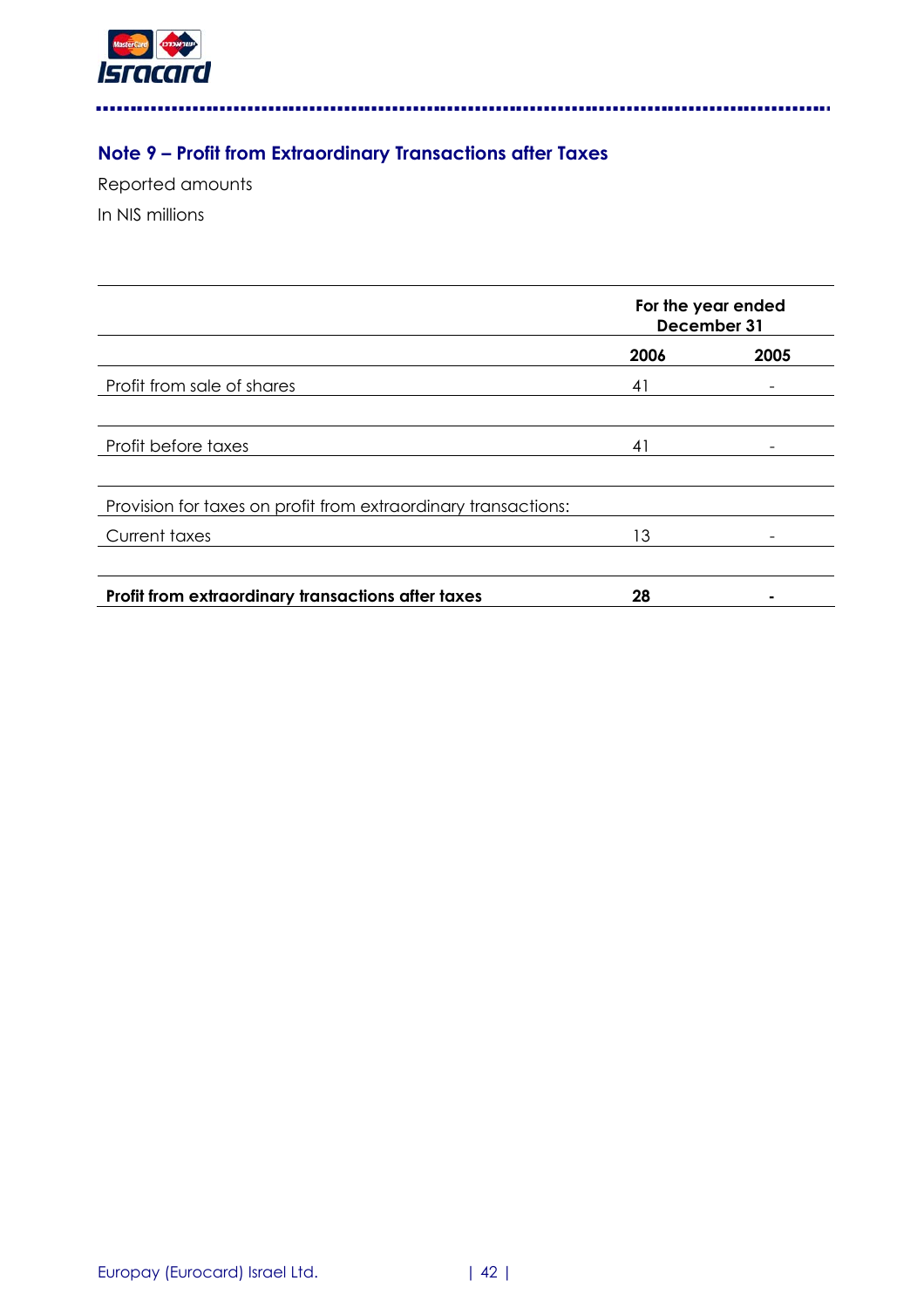

# **Note 9 – Profit from Extraordinary Transactions after Taxes**

Reported amounts In NIS millions

|                                                                | For the year ended<br>December 31 |      |
|----------------------------------------------------------------|-----------------------------------|------|
|                                                                | 2006                              | 2005 |
| Profit from sale of shares                                     | 41                                |      |
|                                                                |                                   |      |
| Profit before taxes                                            | 41                                |      |
|                                                                |                                   |      |
| Provision for taxes on profit from extraordinary transactions: |                                   |      |
| <b>Current taxes</b>                                           | 13                                |      |
|                                                                |                                   |      |
| Profit from extraordinary transactions after taxes             | 28                                |      |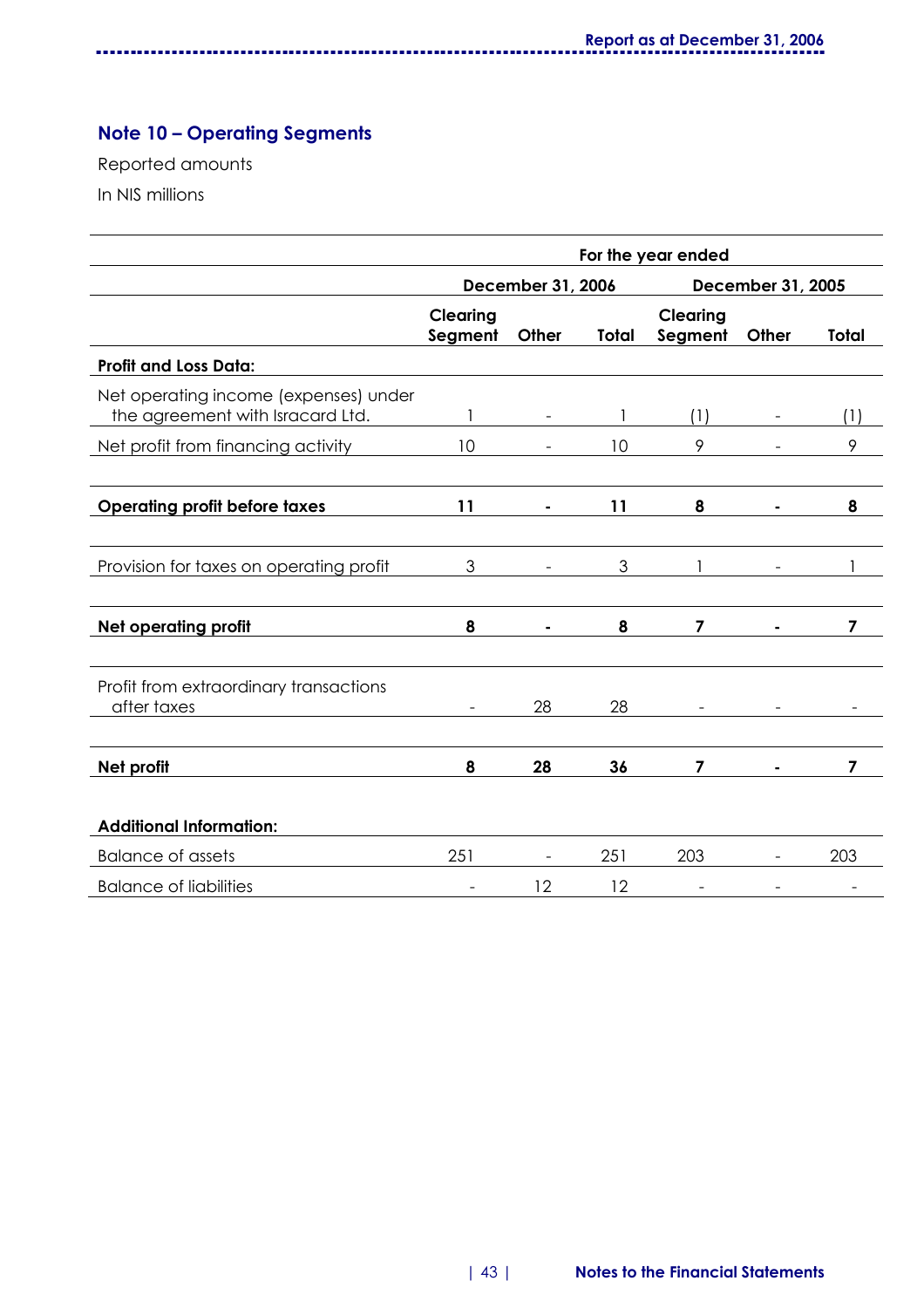# **Note 10 – Operating Segments**

Reported amounts In NIS millions

|                                                                           | For the year ended  |                |       |                     |                |              |
|---------------------------------------------------------------------------|---------------------|----------------|-------|---------------------|----------------|--------------|
|                                                                           | December 31, 2006   |                |       | December 31, 2005   |                |              |
|                                                                           | Clearing<br>Segment | Other          | Total | Clearing<br>Segment | Other          | <b>Total</b> |
| <b>Profit and Loss Data:</b>                                              |                     |                |       |                     |                |              |
| Net operating income (expenses) under<br>the agreement with Isracard Ltd. |                     |                |       | (1)                 |                | (1)          |
| Net profit from financing activity                                        | 10                  |                | 10    | 9                   |                | 9            |
|                                                                           |                     |                |       |                     |                |              |
| <b>Operating profit before taxes</b>                                      | 11                  | $\blacksquare$ | 11    | 8                   | $\blacksquare$ | 8            |
|                                                                           |                     |                |       |                     |                |              |
| Provision for taxes on operating profit                                   | 3                   |                | 3     |                     |                |              |
|                                                                           |                     |                |       |                     |                |              |
| Net operating profit                                                      | 8                   |                | 8     | $\overline{7}$      |                | 7            |
|                                                                           |                     |                |       |                     |                |              |
| Profit from extraordinary transactions                                    |                     |                |       |                     |                |              |
| after taxes                                                               |                     | 28             | 28    |                     |                |              |
|                                                                           |                     |                |       |                     |                |              |
| Net profit                                                                | 8                   | 28             | 36    | 7                   |                | 7            |
|                                                                           |                     |                |       |                     |                |              |
| <b>Additional Information:</b>                                            |                     |                |       |                     |                |              |
| <b>Balance of assets</b>                                                  | 251                 |                | 251   | 203                 |                | 203          |
| <b>Balance of liabilities</b>                                             |                     | 12             | 12    |                     |                |              |

.........